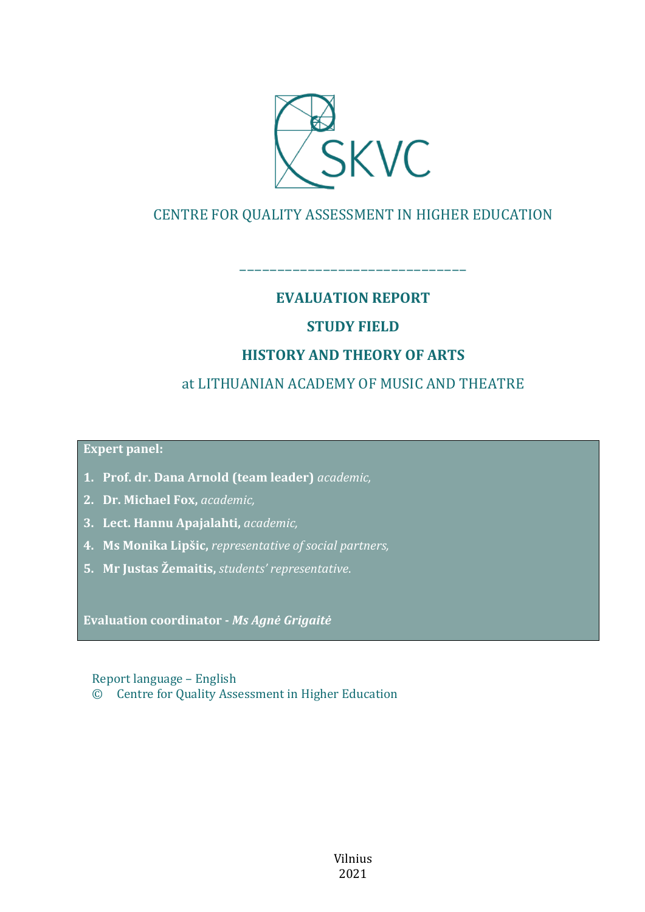

# CENTRE FOR QUALITY ASSESSMENT IN HIGHER EDUCATION

## **EVALUATION REPORT**

––––––––––––––––––––––––––––––

# **STUDY FIELD**

# **HISTORY AND THEORY OF ARTS**

# at LITHUANIAN ACADEMY OF MUSIC AND THEATRE

**Expert panel:**

- **1. Prof. dr. Dana Arnold (team leader)** *academic,*
- **2. Dr. Michael Fox,** *academic,*
- **3. Lect. Hannu Apajalahti,** *academic,*
- **4. Ms Monika Lipšic,** *representative of social partners,*
- **5. Mr Justas Žemaitis,** *students' representative*.

**Evaluation coordinator -** *Ms Agnė Grigaitė*

Report language – English © Centre for Quality Assessment in Higher Education

> Vilnius 2021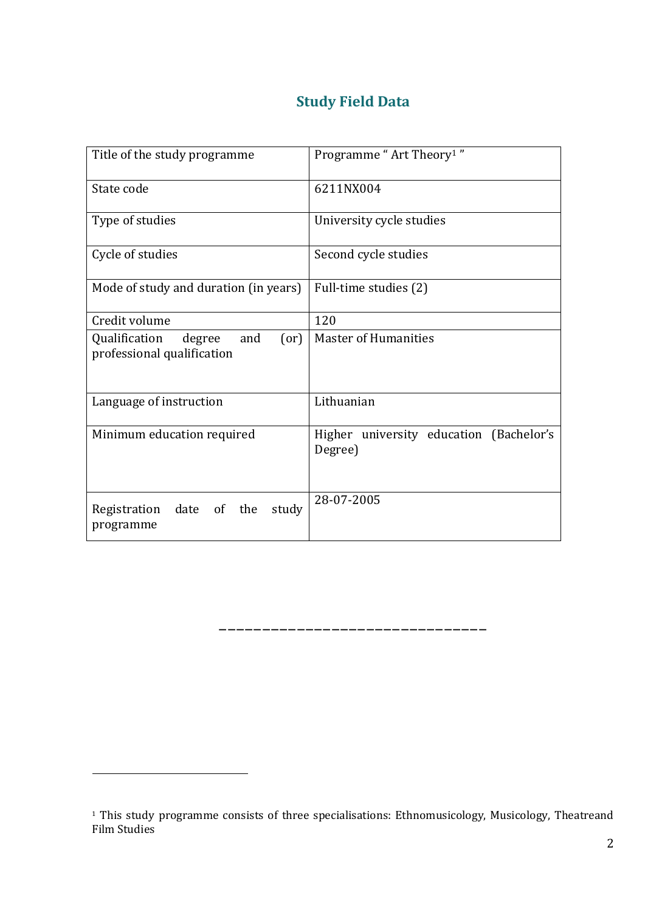# **Study Field Data**

| Title of the study programme                                         | Programme "Art Theory <sup>1</sup> "               |  |
|----------------------------------------------------------------------|----------------------------------------------------|--|
| State code                                                           | 6211NX004                                          |  |
| Type of studies                                                      | University cycle studies                           |  |
| Cycle of studies                                                     | Second cycle studies                               |  |
| Mode of study and duration (in years)                                | Full-time studies (2)                              |  |
| Credit volume                                                        | 120                                                |  |
| Qualification<br>and<br>(or)<br>degree<br>professional qualification | <b>Master of Humanities</b>                        |  |
| Language of instruction                                              | Lithuanian                                         |  |
| Minimum education required                                           | Higher university education (Bachelor's<br>Degree) |  |
| date of the<br>study<br>Registration<br>programme                    | 28-07-2005                                         |  |

<sup>1</sup> This study programme consists of three specialisations: Ethnomusicology, Musicology, Theatreand Film Studies

<u>.</u>

–––––––––––––––––––––––––––––––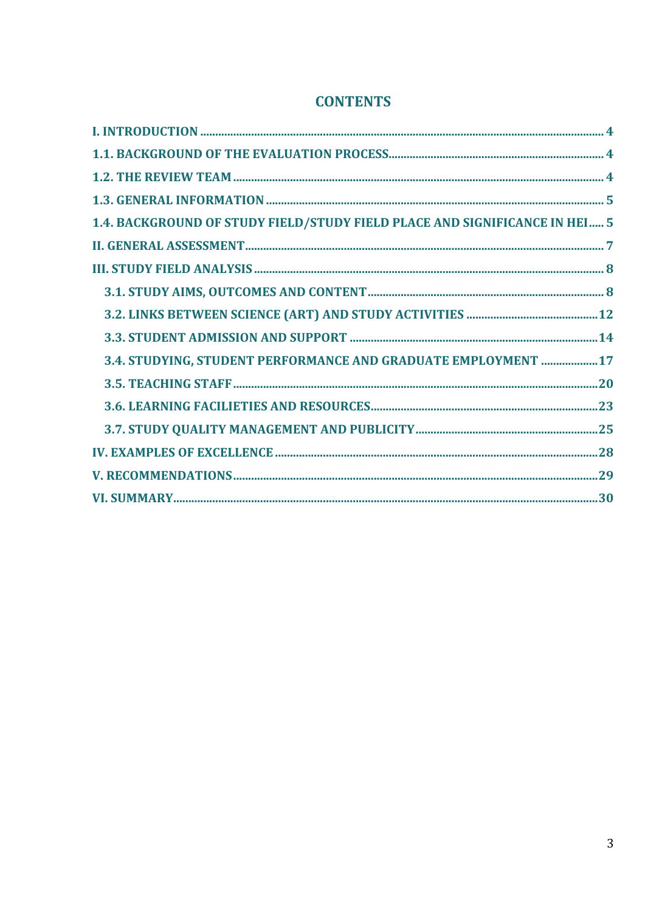| 1.4. BACKGROUND OF STUDY FIELD/STUDY FIELD PLACE AND SIGNIFICANCE IN HEI  5 |  |
|-----------------------------------------------------------------------------|--|
|                                                                             |  |
|                                                                             |  |
|                                                                             |  |
|                                                                             |  |
|                                                                             |  |
| 3.4. STUDYING, STUDENT PERFORMANCE AND GRADUATE EMPLOYMENT  17              |  |
|                                                                             |  |
|                                                                             |  |
|                                                                             |  |
|                                                                             |  |
|                                                                             |  |
|                                                                             |  |

# **CONTENTS**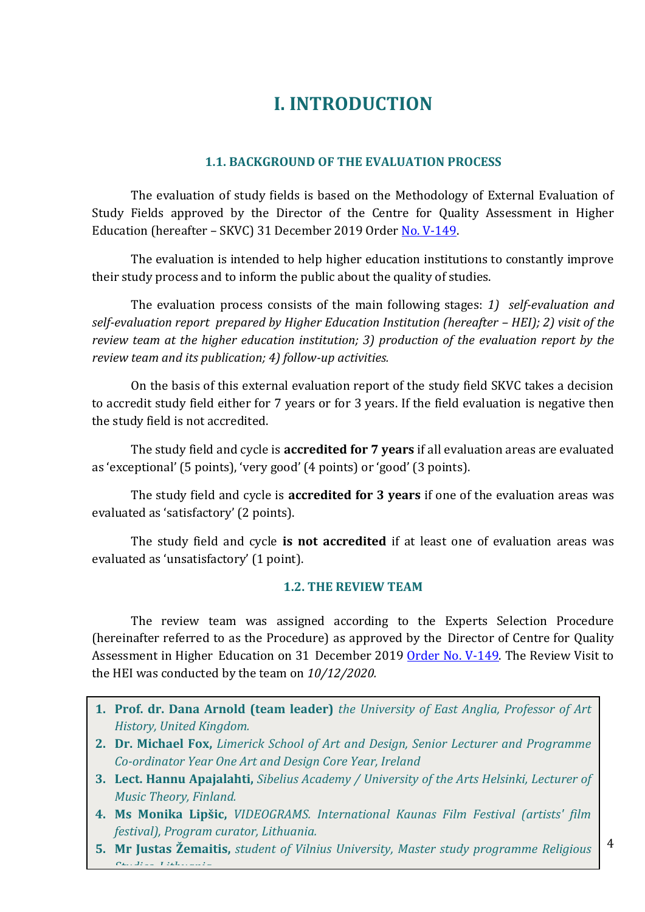# **I. INTRODUCTION**

#### **1.1. BACKGROUND OF THE EVALUATION PROCESS**

<span id="page-3-1"></span><span id="page-3-0"></span>The evaluation of study fields is based on the Methodology of External Evaluation of Study Fields approved by the Director of the Centre for Quality Assessment in Higher Education (hereafter – SKVC) 31 December 2019 Order [No. V-149.](https://e-seimas.lrs.lt/portal/legalAct/lt/TAD/5343ad922c0e11ea8f0dfdc2b5879561)

The evaluation is intended to help higher education institutions to constantly improve their study process and to inform the public about the quality of studies.

The evaluation process consists of the main following stages: *1) self-evaluation and self-evaluation report prepared by Higher Education Institution (hereafter – HEI); 2) visit of the review team at the higher education institution; 3) production of the evaluation report by the review team and its publication; 4) follow-up activities.* 

On the basis of this external evaluation report of the study field SKVC takes a decision to accredit study field either for 7 years or for 3 years. If the field evaluation is negative then the study field is not accredited.

The study field and cycle is **accredited for 7 years** if all evaluation areas are evaluated as 'exceptional' (5 points), 'very good' (4 points) or 'good' (3 points).

The study field and cycle is **accredited for 3 years** if one of the evaluation areas was evaluated as 'satisfactory' (2 points).

The study field and cycle **is not accredited** if at least one of evaluation areas was evaluated as 'unsatisfactory' (1 point).

#### **1.2. THE REVIEW TEAM**

<span id="page-3-2"></span>The review team was assigned according to the Experts Selection Procedure (hereinafter referred to as the Procedure) as approved by the Director of Centre for Quality Assessment in Higher Education on 31 December 2019 [Order No. V-149.](https://e-seimas.lrs.lt/portal/legalAct/lt/TAD/5343ad922c0e11ea8f0dfdc2b5879561) The Review Visit to the HEI was conducted by the team on *10/12/2020.*

- **1. Prof. dr. Dana Arnold (team leader)** *the University of East Anglia, Professor of Art History, United Kingdom.*
- **2. Dr. Michael Fox,** *Limerick School of Art and Design, Senior Lecturer and Programme Co-ordinator Year One Art and Design Core Year, Ireland*
- **3. Lect. Hannu Apajalahti,** *Sibelius Academy / University of the Arts Helsinki, Lecturer of Music Theory, Finland.*
- **4. Ms Monika Lipšic,** *VIDEOGRAMS. International Kaunas Film Festival (artists' film festival), Program curator, Lithuania.*
- **5. Mr Justas Žemaitis,** *student of Vilnius University, Master study programme Religious Studies, Lithuania*.

4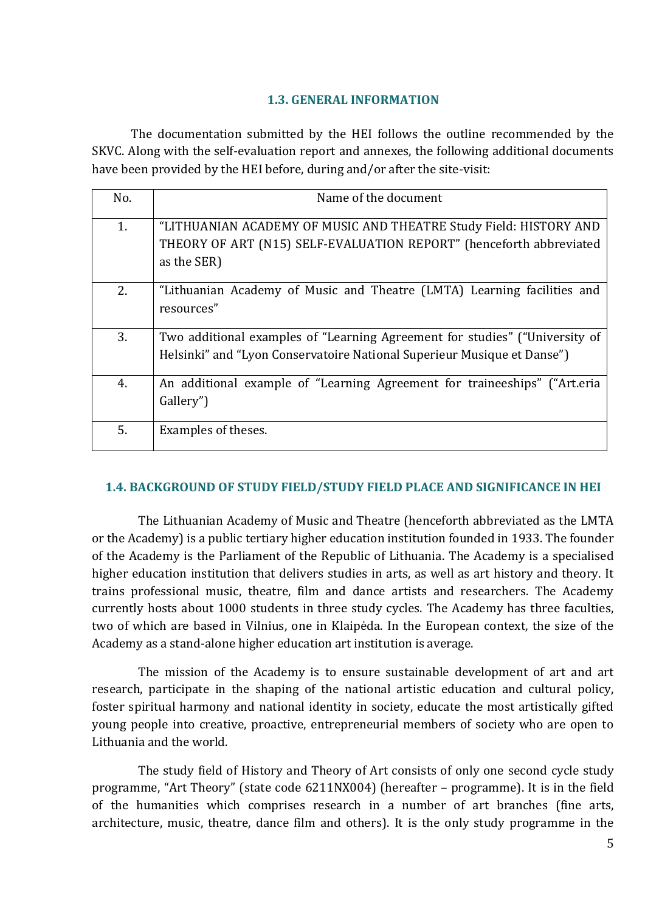#### **1.3. GENERAL INFORMATION**

<span id="page-4-0"></span>The documentation submitted by the HEI follows the outline recommended by the SKVC. Along with the self-evaluation report and annexes, the following additional documents have been provided by the HEI before, during and/or after the site-visit:

| No. | Name of the document                                                                                                                                    |
|-----|---------------------------------------------------------------------------------------------------------------------------------------------------------|
| 1.  | "LITHUANIAN ACADEMY OF MUSIC AND THEATRE Study Field: HISTORY AND<br>THEORY OF ART (N15) SELF-EVALUATION REPORT" (henceforth abbreviated<br>as the SER) |
| 2.  | "Lithuanian Academy of Music and Theatre (LMTA) Learning facilities and<br>resources"                                                                   |
| 3.  | Two additional examples of "Learning Agreement for studies" ("University of<br>Helsinki" and "Lyon Conservatoire National Superieur Musique et Danse")  |
| 4.  | An additional example of "Learning Agreement for traineeships" ("Art.eria<br>Gallery")                                                                  |
| 5.  | Examples of theses.                                                                                                                                     |

#### <span id="page-4-1"></span>**1.4. BACKGROUND OF STUDY FIELD/STUDY FIELD PLACE AND SIGNIFICANCE IN HEI**

The Lithuanian Academy of Music and Theatre (henceforth abbreviated as the LMTA or the Academy) is a public tertiary higher education institution founded in 1933. The founder of the Academy is the Parliament of the Republic of Lithuania. The Academy is a specialised higher education institution that delivers studies in arts, as well as art history and theory. It trains professional music, theatre, film and dance artists and researchers. The Academy currently hosts about 1000 students in three study cycles. The Academy has three faculties, two of which are based in Vilnius, one in Klaipėda. In the European context, the size of the Academy as a stand-alone higher education art institution is average.

The mission of the Academy is to ensure sustainable development of art and art research, participate in the shaping of the national artistic education and cultural policy, foster spiritual harmony and national identity in society, educate the most artistically gifted young people into creative, proactive, entrepreneurial members of society who are open to Lithuania and the world.

The study field of History and Theory of Art consists of only one second cycle study programme, "Art Theory" (state code 6211NX004) (hereafter – programme). It is in the field of the humanities which comprises research in a number of art branches (fine arts, architecture, music, theatre, dance film and others). It is the only study programme in the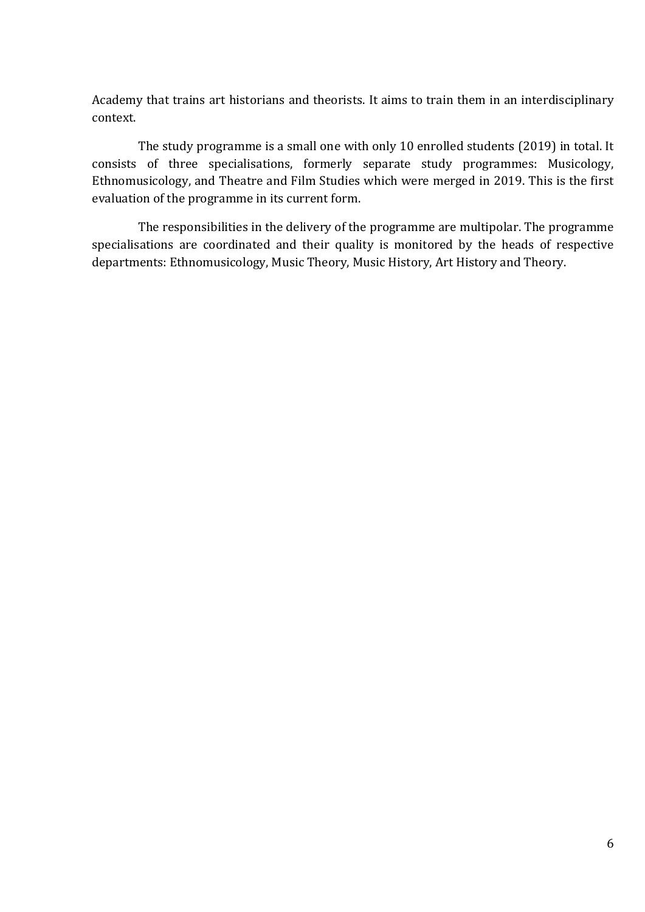Academy that trains art historians and theorists. It aims to train them in an interdisciplinary context.

The study programme is a small one with only 10 enrolled students (2019) in total. It consists of three specialisations, formerly separate study programmes: Musicology, Ethnomusicology, and Theatre and Film Studies which were merged in 2019. This is the first evaluation of the programme in its current form.

The responsibilities in the delivery of the programme are multipolar. The programme specialisations are coordinated and their quality is monitored by the heads of respective departments: Ethnomusicology, Music Theory, Music History, Art History and Theory.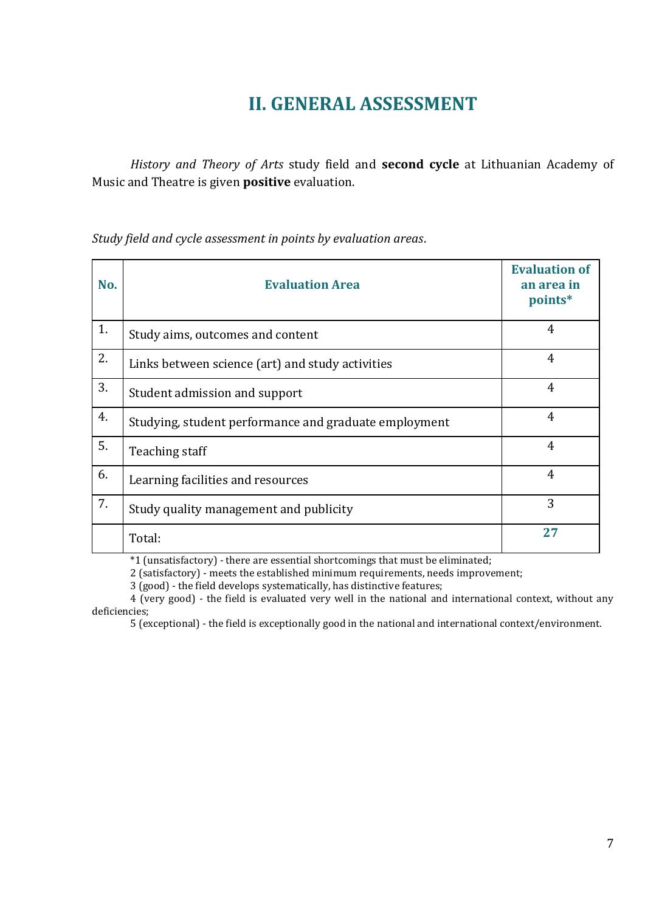# **II. GENERAL ASSESSMENT**

<span id="page-6-0"></span>*History and Theory of Arts* study field and **second cycle** at Lithuanian Academy of Music and Theatre is given **positive** evaluation.

*Study field and cycle assessment in points by evaluation areas*.

| No. | <b>Evaluation Area</b>                                | <b>Evaluation of</b><br>an area in<br>points* |
|-----|-------------------------------------------------------|-----------------------------------------------|
| 1.  | Study aims, outcomes and content                      | 4                                             |
| 2.  | Links between science (art) and study activities      | $\overline{4}$                                |
| 3.  | Student admission and support                         | $\overline{4}$                                |
| 4.  | Studying, student performance and graduate employment | $\overline{4}$                                |
| 5.  | Teaching staff                                        | $\overline{4}$                                |
| 6.  | Learning facilities and resources                     | $\overline{4}$                                |
| 7.  | Study quality management and publicity                | 3                                             |
|     | Total:                                                | 27                                            |

\*1 (unsatisfactory) - there are essential shortcomings that must be eliminated;

2 (satisfactory) - meets the established minimum requirements, needs improvement;

3 (good) - the field develops systematically, has distinctive features;

4 (very good) - the field is evaluated very well in the national and international context, without any deficiencies;

5 (exceptional) - the field is exceptionally good in the national and international context/environment.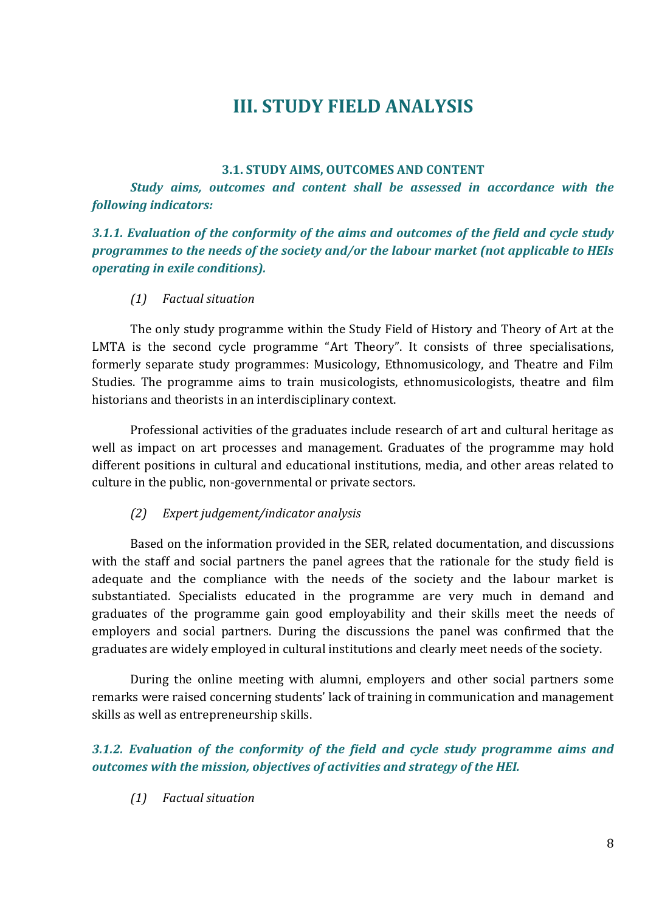# **III. STUDY FIELD ANALYSIS**

#### **3.1. STUDY AIMS, OUTCOMES AND CONTENT**

<span id="page-7-1"></span><span id="page-7-0"></span>*Study aims, outcomes and content shall be assessed in accordance with the following indicators:* 

## *3.1.1. Evaluation of the conformity of the aims and outcomes of the field and cycle study programmes to the needs of the society and/or the labour market (not applicable to HEIs operating in exile conditions).*

## *(1) Factual situation*

The only study programme within the Study Field of History and Theory of Art at the LMTA is the second cycle programme "Art Theory". It consists of three specialisations, formerly separate study programmes: Musicology, Ethnomusicology, and Theatre and Film Studies. The programme aims to train musicologists, ethnomusicologists, theatre and film historians and theorists in an interdisciplinary context.

Professional activities of the graduates include research of art and cultural heritage as well as impact on art processes and management. Graduates of the programme may hold different positions in cultural and educational institutions, media, and other areas related to culture in the public, non-governmental or private sectors.

## *(2) Expert judgement/indicator analysis*

Based on the information provided in the SER, related documentation, and discussions with the staff and social partners the panel agrees that the rationale for the study field is adequate and the compliance with the needs of the society and the labour market is substantiated. Specialists educated in the programme are very much in demand and graduates of the programme gain good employability and their skills meet the needs of employers and social partners. During the discussions the panel was confirmed that the graduates are widely employed in cultural institutions and clearly meet needs of the society.

During the online meeting with alumni, employers and other social partners some remarks were raised concerning students' lack of training in communication and management skills as well as entrepreneurship skills.

# *3.1.2. Evaluation of the conformity of the field and cycle study programme aims and outcomes with the mission, objectives of activities and strategy of the HEI.*

*(1) Factual situation*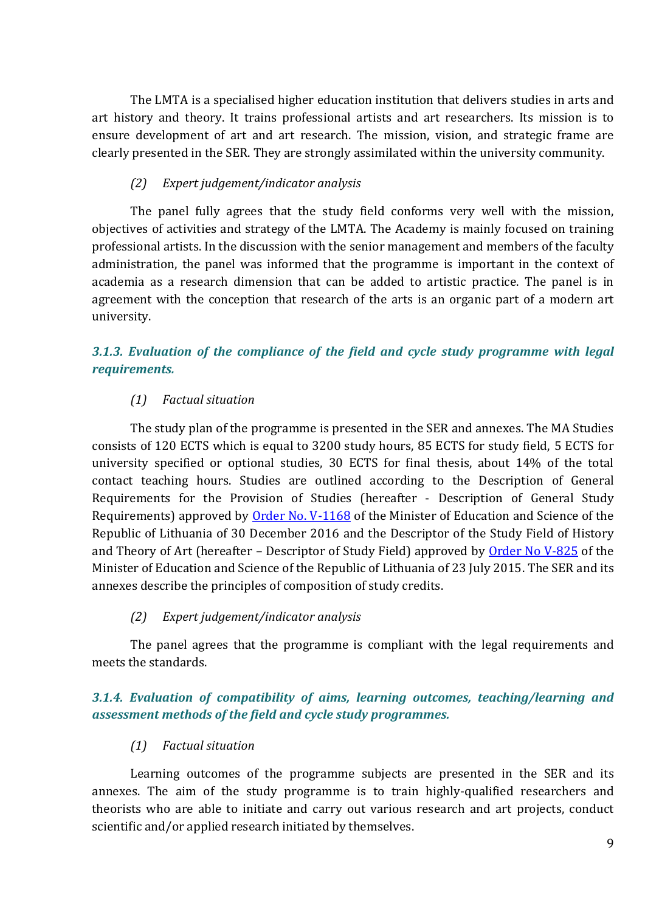The LMTA is a specialised higher education institution that delivers studies in arts and art history and theory. It trains professional artists and art researchers. Its mission is to ensure development of art and art research. The mission, vision, and strategic frame are clearly presented in the SER. They are strongly assimilated within the university community.

#### *(2) Expert judgement/indicator analysis*

The panel fully agrees that the study field conforms very well with the mission, objectives of activities and strategy of the LMTA. The Academy is mainly focused on training professional artists. In the discussion with the senior management and members of the faculty administration, the panel was informed that the programme is important in the context of academia as a research dimension that can be added to artistic practice. The panel is in agreement with the conception that research of the arts is an organic part of a modern art university.

# *3.1.3. Evaluation of the compliance of the field and cycle study programme with legal requirements.*

#### *(1) Factual situation*

The study plan of the programme is presented in the SER and annexes. The MA Studies consists of 120 ECTS which is equal to 3200 study hours, 85 ECTS for study field, 5 ECTS for university specified or optional studies, 30 ECTS for final thesis, about 14% of the total contact teaching hours. Studies are outlined according to the Description of General Requirements for the Provision of Studies (hereafter - Description of General Study Requirements) approved by [Order No. V-1168](https://e-seimas.lrs.lt/portal/legalAct/lt/TAD/a4caf862ced511e6a476d5908abd2210) of the Minister of Education and Science of the Republic of Lithuania of 30 December 2016 and the Descriptor of the Study Field of History and Theory of Art (hereafter – Descriptor of Study Field) approved by [Order No V-825](https://e-seimas.lrs.lt/portal/legalAct/lt/TAD/e391e2904cf711e5a4ad9dd3e7d17706?jfwid=nz8qn8hgk) of the Minister of Education and Science of the Republic of Lithuania of 23 July 2015. The SER and its annexes describe the principles of composition of study credits.

#### *(2) Expert judgement/indicator analysis*

The panel agrees that the programme is compliant with the legal requirements and meets the standards.

## *3.1.4. Evaluation of compatibility of aims, learning outcomes, teaching/learning and assessment methods of the field and cycle study programmes.*

## *(1) Factual situation*

Learning outcomes of the programme subjects are presented in the SER and its annexes. The aim of the study programme is to train highly-qualified researchers and theorists who are able to initiate and carry out various research and art projects, conduct scientific and/or applied research initiated by themselves.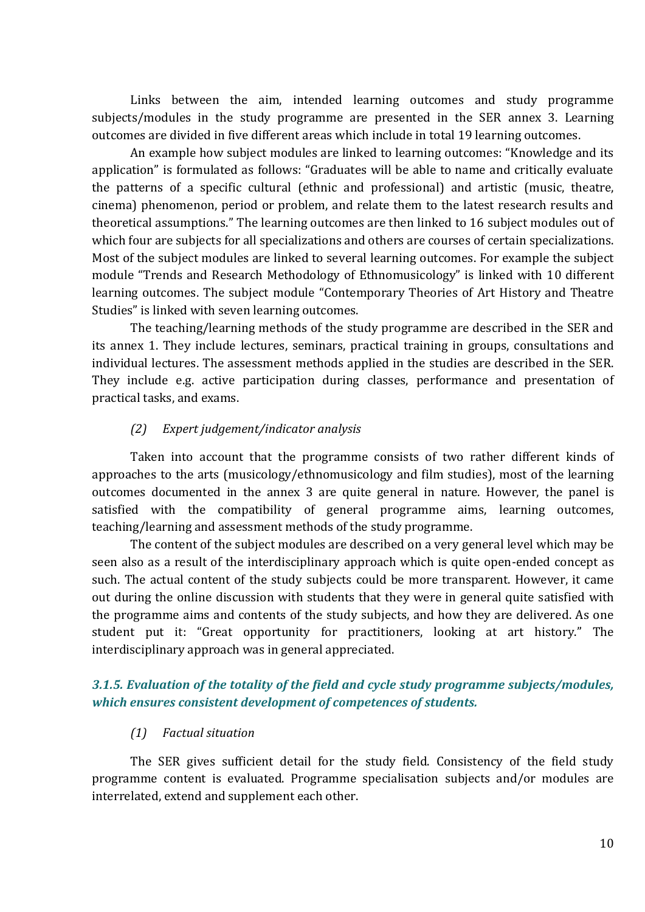Links between the aim, intended learning outcomes and study programme subjects/modules in the study programme are presented in the SER annex 3. Learning outcomes are divided in five different areas which include in total 19 learning outcomes.

An example how subject modules are linked to learning outcomes: "Knowledge and its application" is formulated as follows: "Graduates will be able to name and critically evaluate the patterns of a specific cultural (ethnic and professional) and artistic (music, theatre, cinema) phenomenon, period or problem, and relate them to the latest research results and theoretical assumptions." The learning outcomes are then linked to 16 subject modules out of which four are subjects for all specializations and others are courses of certain specializations. Most of the subject modules are linked to several learning outcomes. For example the subject module "Trends and Research Methodology of Ethnomusicology" is linked with 10 different learning outcomes. The subject module "Contemporary Theories of Art History and Theatre Studies" is linked with seven learning outcomes.

The teaching/learning methods of the study programme are described in the SER and its annex 1. They include lectures, seminars, practical training in groups, consultations and individual lectures. The assessment methods applied in the studies are described in the SER. They include e.g. active participation during classes, performance and presentation of practical tasks, and exams.

#### *(2) Expert judgement/indicator analysis*

Taken into account that the programme consists of two rather different kinds of approaches to the arts (musicology/ethnomusicology and film studies), most of the learning outcomes documented in the annex 3 are quite general in nature. However, the panel is satisfied with the compatibility of general programme aims, learning outcomes, teaching/learning and assessment methods of the study programme.

The content of the subject modules are described on a very general level which may be seen also as a result of the interdisciplinary approach which is quite open-ended concept as such. The actual content of the study subjects could be more transparent. However, it came out during the online discussion with students that they were in general quite satisfied with the programme aims and contents of the study subjects, and how they are delivered. As one student put it: "Great opportunity for practitioners, looking at art history." The interdisciplinary approach was in general appreciated.

## *3.1.5. Evaluation of the totality of the field and cycle study programme subjects/modules, which ensures consistent development of competences of students.*

#### *(1) Factual situation*

The SER gives sufficient detail for the study field. Consistency of the field study programme content is evaluated. Programme specialisation subjects and/or modules are interrelated, extend and supplement each other.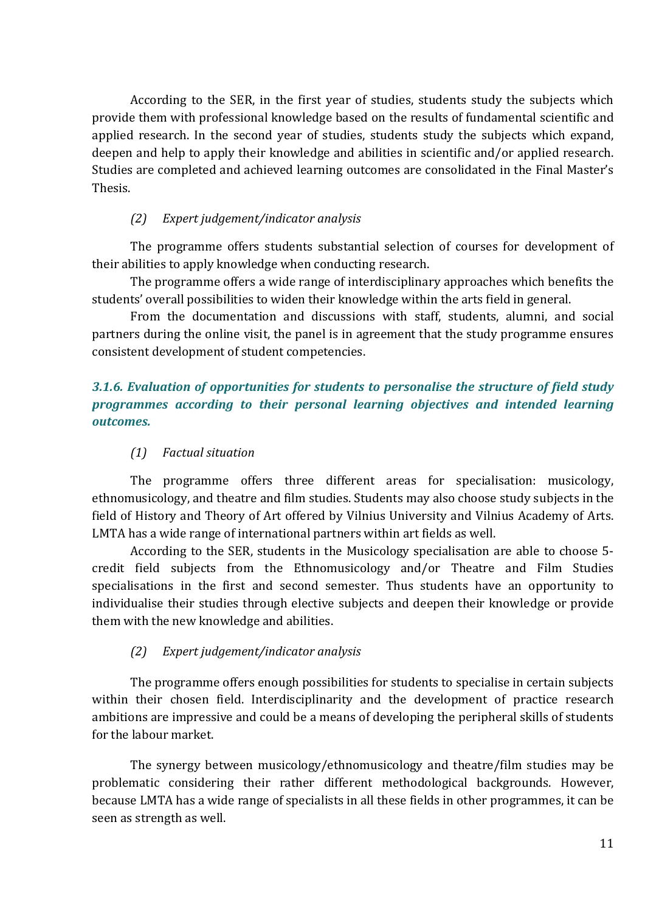According to the SER, in the first year of studies, students study the subjects which provide them with professional knowledge based on the results of fundamental scientific and applied research. In the second year of studies, students study the subjects which expand, deepen and help to apply their knowledge and abilities in scientific and/or applied research. Studies are completed and achieved learning outcomes are consolidated in the Final Master's Thesis.

#### *(2) Expert judgement/indicator analysis*

The programme offers students substantial selection of courses for development of their abilities to apply knowledge when conducting research.

The programme offers a wide range of interdisciplinary approaches which benefits the students' overall possibilities to widen their knowledge within the arts field in general.

From the documentation and discussions with staff, students, alumni, and social partners during the online visit, the panel is in agreement that the study programme ensures consistent development of student competencies.

## *3.1.6. Evaluation of opportunities for students to personalise the structure of field study programmes according to their personal learning objectives and intended learning outcomes.*

#### *(1) Factual situation*

The programme offers three different areas for specialisation: musicology, ethnomusicology, and theatre and film studies. Students may also choose study subjects in the field of History and Theory of Art offered by Vilnius University and Vilnius Academy of Arts. LMTA has a wide range of international partners within art fields as well.

According to the SER, students in the Musicology specialisation are able to choose 5 credit field subjects from the Ethnomusicology and/or Theatre and Film Studies specialisations in the first and second semester. Thus students have an opportunity to individualise their studies through elective subjects and deepen their knowledge or provide them with the new knowledge and abilities.

#### *(2) Expert judgement/indicator analysis*

The programme offers enough possibilities for students to specialise in certain subjects within their chosen field. Interdisciplinarity and the development of practice research ambitions are impressive and could be a means of developing the peripheral skills of students for the labour market.

The synergy between musicology/ethnomusicology and theatre/film studies may be problematic considering their rather different methodological backgrounds. However, because LMTA has a wide range of specialists in all these fields in other programmes, it can be seen as strength as well.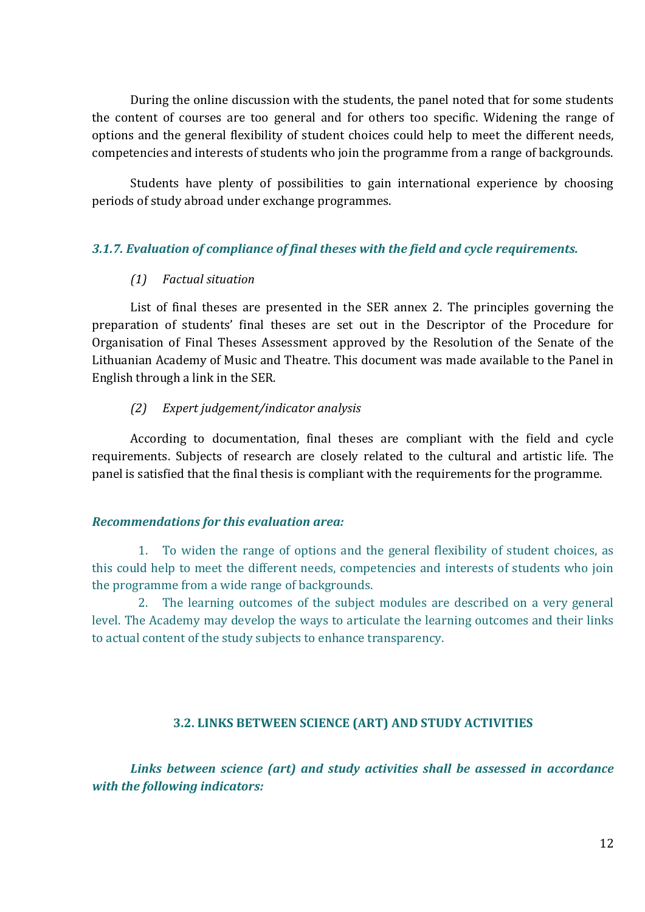During the online discussion with the students, the panel noted that for some students the content of courses are too general and for others too specific. Widening the range of options and the general flexibility of student choices could help to meet the different needs, competencies and interests of students who join the programme from a range of backgrounds.

Students have plenty of possibilities to gain international experience by choosing periods of study abroad under exchange programmes.

#### *3.1.7. Evaluation of compliance of final theses with the field and cycle requirements.*

#### *(1) Factual situation*

List of final theses are presented in the SER annex 2. The principles governing the preparation of students' final theses are set out in the Descriptor of the Procedure for Organisation of Final Theses Assessment approved by the Resolution of the Senate of the Lithuanian Academy of Music and Theatre. This document was made available to the Panel in English through a link in the SER.

#### *(2) Expert judgement/indicator analysis*

According to documentation, final theses are compliant with the field and cycle requirements. Subjects of research are closely related to the cultural and artistic life. The panel is satisfied that the final thesis is compliant with the requirements for the programme.

#### *Recommendations for this evaluation area:*

1. To widen the range of options and the general flexibility of student choices, as this could help to meet the different needs, competencies and interests of students who join the programme from a wide range of backgrounds.

2. The learning outcomes of the subject modules are described on a very general level. The Academy may develop the ways to articulate the learning outcomes and their links to actual content of the study subjects to enhance transparency.

#### **3.2. LINKS BETWEEN SCIENCE (ART) AND STUDY ACTIVITIES**

<span id="page-11-0"></span>*Links between science (art) and study activities shall be assessed in accordance with the following indicators:*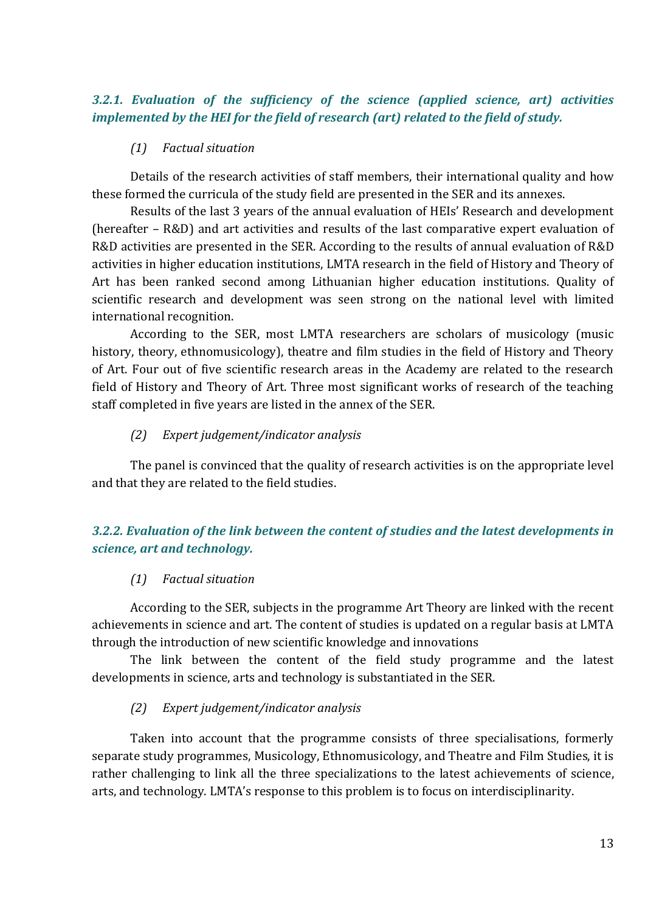## *3.2.1. Evaluation of the sufficiency of the science (applied science, art) activities implemented by the HEI for the field of research (art) related to the field of study.*

#### *(1) Factual situation*

Details of the research activities of staff members, their international quality and how these formed the curricula of the study field are presented in the SER and its annexes.

Results of the last 3 years of the annual evaluation of HEIs' Research and development (hereafter – R&D) and art activities and results of the last comparative expert evaluation of R&D activities are presented in the SER. According to the results of annual evaluation of R&D activities in higher education institutions, LMTA research in the field of History and Theory of Art has been ranked second among Lithuanian higher education institutions. Quality of scientific research and development was seen strong on the national level with limited international recognition.

According to the SER, most LMTA researchers are scholars of musicology (music history, theory, ethnomusicology), theatre and film studies in the field of History and Theory of Art. Four out of five scientific research areas in the Academy are related to the research field of History and Theory of Art. Three most significant works of research of the teaching staff completed in five years are listed in the annex of the SER.

#### *(2) Expert judgement/indicator analysis*

The panel is convinced that the quality of research activities is on the appropriate level and that they are related to the field studies.

# *3.2.2. Evaluation of the link between the content of studies and the latest developments in science, art and technology.*

## *(1) Factual situation*

According to the SER, subjects in the programme Art Theory are linked with the recent achievements in science and art. The content of studies is updated on a regular basis at LMTA through the introduction of new scientific knowledge and innovations

The link between the content of the field study programme and the latest developments in science, arts and technology is substantiated in the SER.

## *(2) Expert judgement/indicator analysis*

Taken into account that the programme consists of three specialisations, formerly separate study programmes, Musicology, Ethnomusicology, and Theatre and Film Studies, it is rather challenging to link all the three specializations to the latest achievements of science, arts, and technology. LMTA's response to this problem is to focus on interdisciplinarity.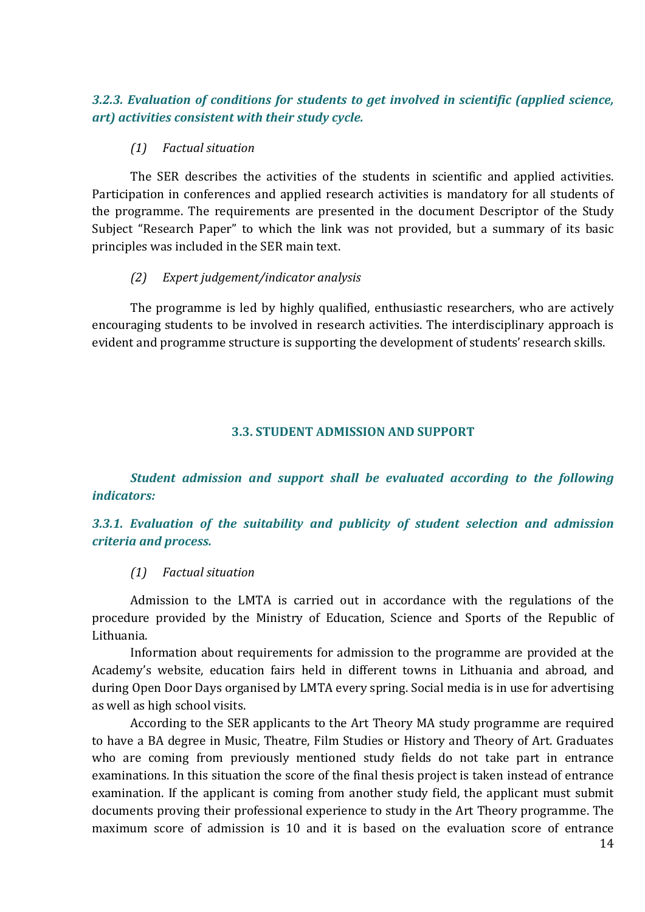#### *3.2.3. Evaluation of conditions for students to get involved in scientific (applied science, art) activities consistent with their study cycle.*

#### *(1) Factual situation*

The SER describes the activities of the students in scientific and applied activities. Participation in conferences and applied research activities is mandatory for all students of the programme. The requirements are presented in the document Descriptor of the Study Subject "Research Paper" to which the link was not provided, but a summary of its basic principles was included in the SER main text.

## *(2) Expert judgement/indicator analysis*

The programme is led by highly qualified, enthusiastic researchers, who are actively encouraging students to be involved in research activities. The interdisciplinary approach is evident and programme structure is supporting the development of students' research skills.

#### **3.3. STUDENT ADMISSION AND SUPPORT**

<span id="page-13-0"></span>*Student admission and support shall be evaluated according to the following indicators:*

# *3.3.1. Evaluation of the suitability and publicity of student selection and admission criteria and process.*

## *(1) Factual situation*

Admission to the LMTA is carried out in accordance with the regulations of the procedure provided by the Ministry of Education, Science and Sports of the Republic of Lithuania.

Information about requirements for admission to the programme are provided at the Academy's website, education fairs held in different towns in Lithuania and abroad, and during Open Door Days organised by LMTA every spring. Social media is in use for advertising as well as high school visits.

According to the SER applicants to the Art Theory MA study programme are required to have a BA degree in Music, Theatre, Film Studies or History and Theory of Art. Graduates who are coming from previously mentioned study fields do not take part in entrance examinations. In this situation the score of the final thesis project is taken instead of entrance examination. If the applicant is coming from another study field, the applicant must submit documents proving their professional experience to study in the Art Theory programme. The maximum score of admission is 10 and it is based on the evaluation score of entrance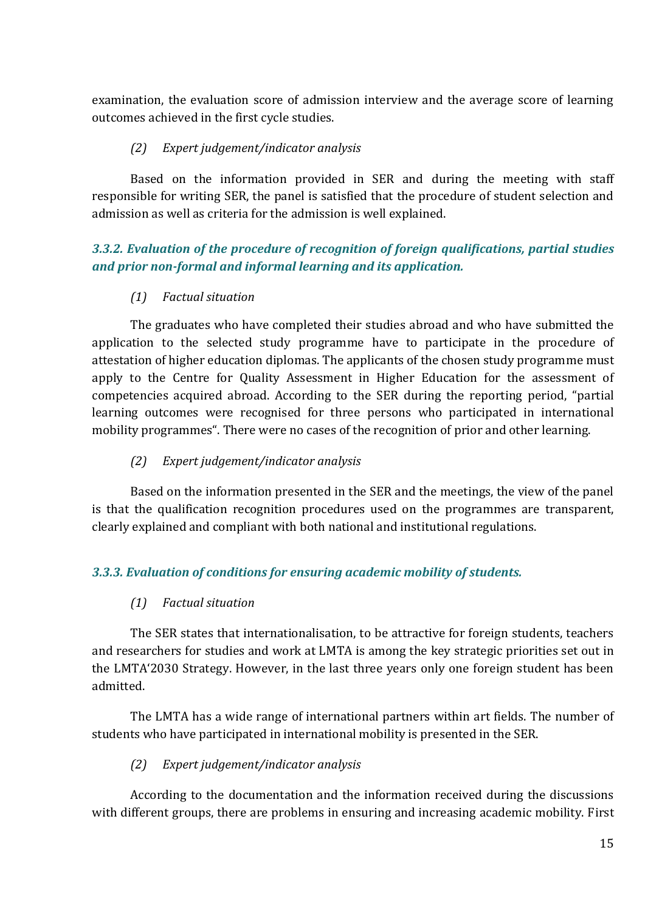examination, the evaluation score of admission interview and the average score of learning outcomes achieved in the first cycle studies.

## *(2) Expert judgement/indicator analysis*

Based on the information provided in SER and during the meeting with staff responsible for writing SER, the panel is satisfied that the procedure of student selection and admission as well as criteria for the admission is well explained.

# *3.3.2. Evaluation of the procedure of recognition of foreign qualifications, partial studies and prior non-formal and informal learning and its application.*

# *(1) Factual situation*

The graduates who have completed their studies abroad and who have submitted the application to the selected study programme have to participate in the procedure of attestation of higher education diplomas. The applicants of the chosen study programme must apply to the Centre for Quality Assessment in Higher Education for the assessment of competencies acquired abroad. According to the SER during the reporting period, "partial learning outcomes were recognised for three persons who participated in international mobility programmes". There were no cases of the recognition of prior and other learning.

# *(2) Expert judgement/indicator analysis*

Based on the information presented in the SER and the meetings, the view of the panel is that the qualification recognition procedures used on the programmes are transparent, clearly explained and compliant with both national and institutional regulations.

# *3.3.3. Evaluation of conditions for ensuring academic mobility of students.*

# *(1) Factual situation*

The SER states that internationalisation, to be attractive for foreign students, teachers and researchers for studies and work at LMTA is among the key strategic priorities set out in the LMTA'2030 Strategy. However, in the last three years only one foreign student has been admitted.

The LMTA has a wide range of international partners within art fields. The number of students who have participated in international mobility is presented in the SER.

# *(2) Expert judgement/indicator analysis*

According to the documentation and the information received during the discussions with different groups, there are problems in ensuring and increasing academic mobility. First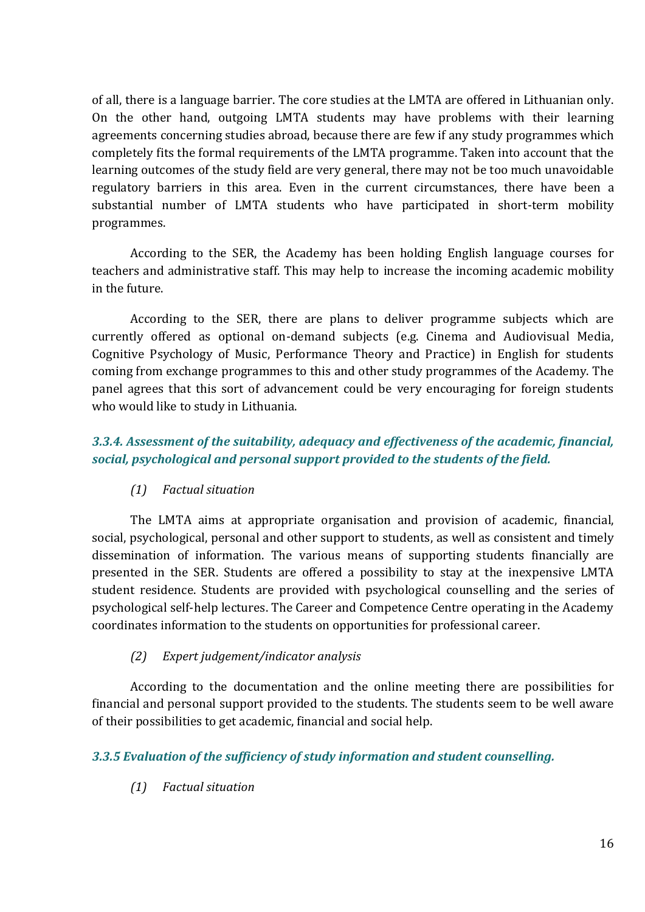of all, there is a language barrier. The core studies at the LMTA are offered in Lithuanian only. On the other hand, outgoing LMTA students may have problems with their learning agreements concerning studies abroad, because there are few if any study programmes which completely fits the formal requirements of the LMTA programme. Taken into account that the learning outcomes of the study field are very general, there may not be too much unavoidable regulatory barriers in this area. Even in the current circumstances, there have been a substantial number of LMTA students who have participated in short-term mobility programmes.

According to the SER, the Academy has been holding English language courses for teachers and administrative staff. This may help to increase the incoming academic mobility in the future.

According to the SER, there are plans to deliver programme subjects which are currently offered as optional on-demand subjects (e.g. Cinema and Audiovisual Media, Cognitive Psychology of Music, Performance Theory and Practice) in English for students coming from exchange programmes to this and other study programmes of the Academy. The panel agrees that this sort of advancement could be very encouraging for foreign students who would like to study in Lithuania.

# *3.3.4. Assessment of the suitability, adequacy and effectiveness of the academic, financial, social, psychological and personal support provided to the students of the field.*

## *(1) Factual situation*

The LMTA aims at appropriate organisation and provision of academic, financial, social, psychological, personal and other support to students, as well as consistent and timely dissemination of information. The various means of supporting students financially are presented in the SER. Students are offered a possibility to stay at the inexpensive LMTA student residence. Students are provided with psychological counselling and the series of psychological self-help lectures. The Career and Competence Centre operating in the Academy coordinates information to the students on opportunities for professional career.

## *(2) Expert judgement/indicator analysis*

According to the documentation and the online meeting there are possibilities for financial and personal support provided to the students. The students seem to be well aware of their possibilities to get academic, financial and social help.

## *3.3.5 Evaluation of the sufficiency of study information and student counselling.*

## *(1) Factual situation*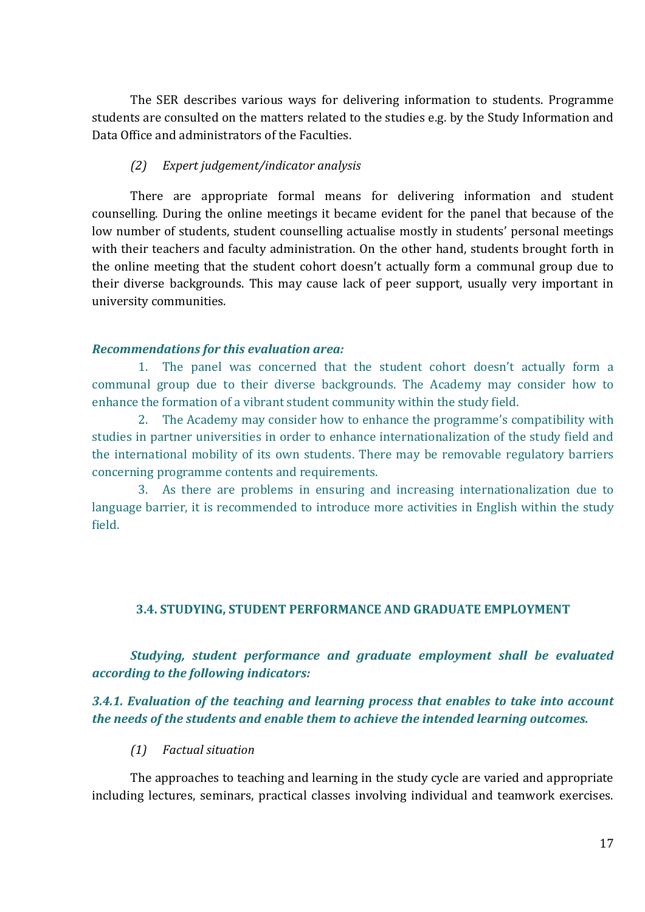The SER describes various ways for delivering information to students. Programme students are consulted on the matters related to the studies e.g. by the Study Information and Data Office and administrators of the Faculties.

#### *(2) Expert judgement/indicator analysis*

There are appropriate formal means for delivering information and student counselling. During the online meetings it became evident for the panel that because of the low number of students, student counselling actualise mostly in students' personal meetings with their teachers and faculty administration. On the other hand, students brought forth in the online meeting that the student cohort doesn't actually form a communal group due to their diverse backgrounds. This may cause lack of peer support, usually very important in university communities.

#### *Recommendations for this evaluation area:*

1. The panel was concerned that the student cohort doesn't actually form a communal group due to their diverse backgrounds. The Academy may consider how to enhance the formation of a vibrant student community within the study field.

2. The Academy may consider how to enhance the programme's compatibility with studies in partner universities in order to enhance internationalization of the study field and the international mobility of its own students. There may be removable regulatory barriers concerning programme contents and requirements.

3. As there are problems in ensuring and increasing internationalization due to language barrier, it is recommended to introduce more activities in English within the study field.

#### <span id="page-16-0"></span>**3.4. STUDYING, STUDENT PERFORMANCE AND GRADUATE EMPLOYMENT**

*Studying, student performance and graduate employment shall be evaluated according to the following indicators:*

#### *3.4.1. Evaluation of the teaching and learning process that enables to take into account the needs of the students and enable them to achieve the intended learning outcomes.*

#### *(1) Factual situation*

The approaches to teaching and learning in the study cycle are varied and appropriate including lectures, seminars, practical classes involving individual and teamwork exercises.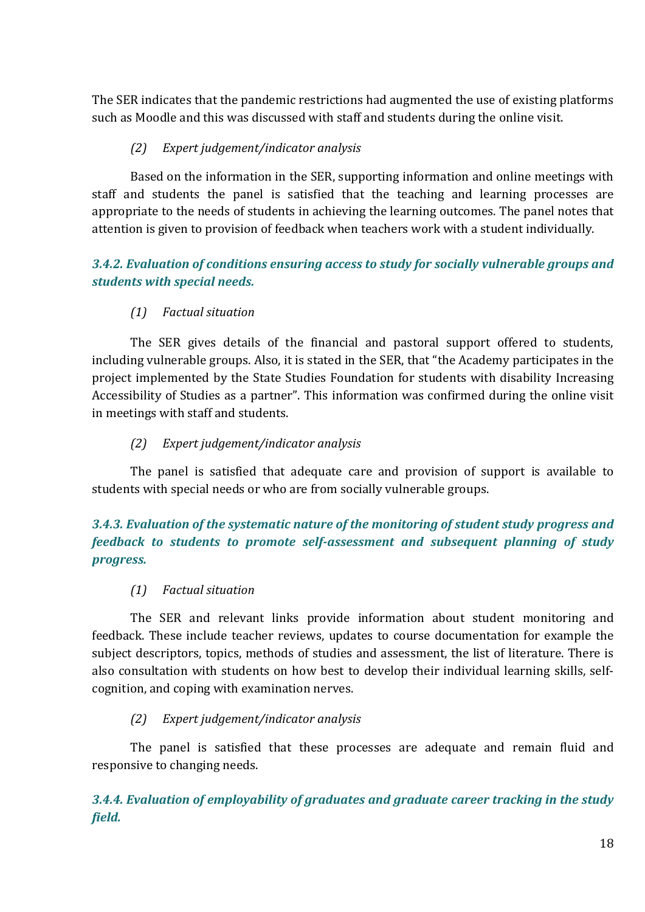The SER indicates that the pandemic restrictions had augmented the use of existing platforms such as Moodle and this was discussed with staff and students during the online visit.

## *(2) Expert judgement/indicator analysis*

Based on the information in the SER, supporting information and online meetings with staff and students the panel is satisfied that the teaching and learning processes are appropriate to the needs of students in achieving the learning outcomes. The panel notes that attention is given to provision of feedback when teachers work with a student individually.

# *3.4.2. Evaluation of conditions ensuring access to study for socially vulnerable groups and students with special needs.*

# *(1) Factual situation*

The SER gives details of the financial and pastoral support offered to students, including vulnerable groups. Also, it is stated in the SER, that "the Academy participates in the project implemented by the State Studies Foundation for students with disability Increasing Accessibility of Studies as a partner". This information was confirmed during the online visit in meetings with staff and students.

# *(2) Expert judgement/indicator analysis*

The panel is satisfied that adequate care and provision of support is available to students with special needs or who are from socially vulnerable groups.

# *3.4.3. Evaluation of the systematic nature of the monitoring of student study progress and feedback to students to promote self-assessment and subsequent planning of study progress.*

# *(1) Factual situation*

The SER and relevant links provide information about student monitoring and feedback. These include teacher reviews, updates to course documentation for example the subject descriptors, topics, methods of studies and assessment, the list of literature. There is also consultation with students on how best to develop their individual learning skills, selfcognition, and coping with examination nerves.

# *(2) Expert judgement/indicator analysis*

The panel is satisfied that these processes are adequate and remain fluid and responsive to changing needs.

*3.4.4. Evaluation of employability of graduates and graduate career tracking in the study field.*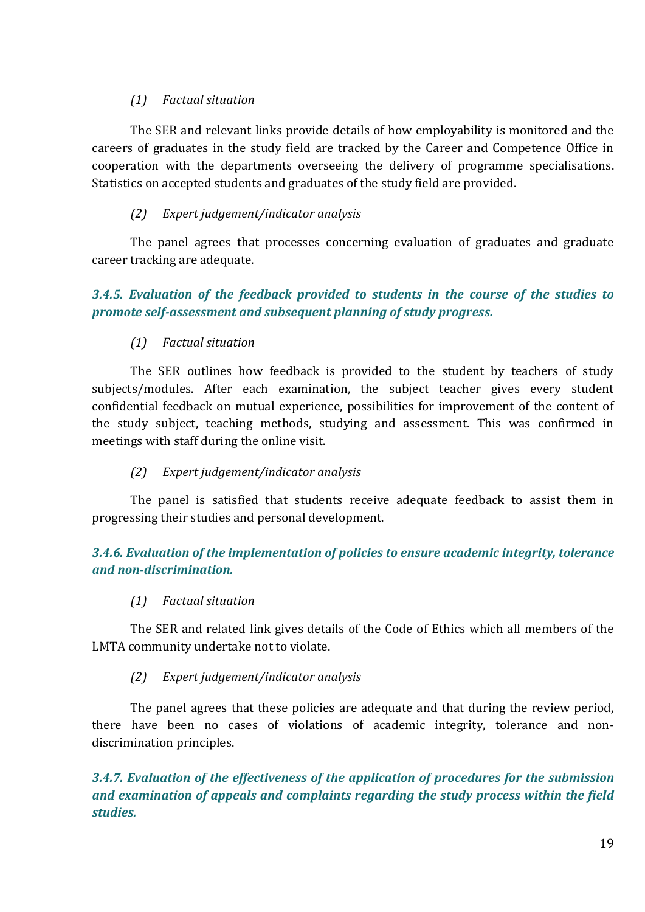## *(1) Factual situation*

The SER and relevant links provide details of how employability is monitored and the careers of graduates in the study field are tracked by the Career and Competence Office in cooperation with the departments overseeing the delivery of programme specialisations. Statistics on accepted students and graduates of the study field are provided.

## *(2) Expert judgement/indicator analysis*

The panel agrees that processes concerning evaluation of graduates and graduate career tracking are adequate.

# *3.4.5. Evaluation of the feedback provided to students in the course of the studies to promote self-assessment and subsequent planning of study progress.*

## *(1) Factual situation*

The SER outlines how feedback is provided to the student by teachers of study subjects/modules. After each examination, the subject teacher gives every student confidential feedback on mutual experience, possibilities for improvement of the content of the study subject, teaching methods, studying and assessment. This was confirmed in meetings with staff during the online visit.

## *(2) Expert judgement/indicator analysis*

The panel is satisfied that students receive adequate feedback to assist them in progressing their studies and personal development.

# *3.4.6. Evaluation of the implementation of policies to ensure academic integrity, tolerance and non-discrimination.*

## *(1) Factual situation*

The SER and related link gives details of the Code of Ethics which all members of the LMTA community undertake not to violate.

## *(2) Expert judgement/indicator analysis*

The panel agrees that these policies are adequate and that during the review period, there have been no cases of violations of academic integrity, tolerance and nondiscrimination principles.

*3.4.7. Evaluation of the effectiveness of the application of procedures for the submission and examination of appeals and complaints regarding the study process within the field studies.*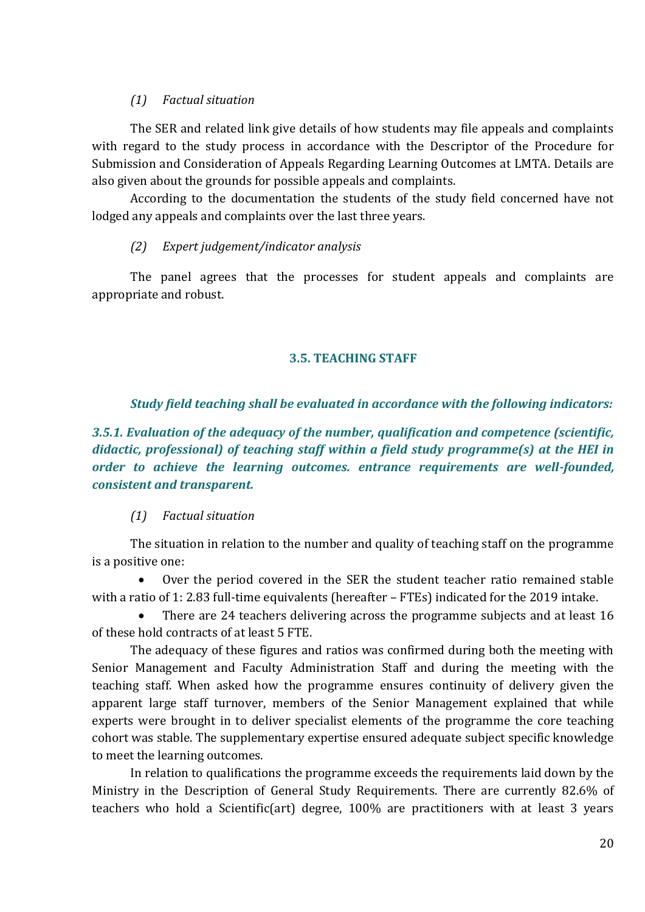#### *(1) Factual situation*

The SER and related link give details of how students may file appeals and complaints with regard to the study process in accordance with the Descriptor of the Procedure for Submission and Consideration of Appeals Regarding Learning Outcomes at LMTA. Details are also given about the grounds for possible appeals and complaints.

According to the documentation the students of the study field concerned have not lodged any appeals and complaints over the last three years.

#### *(2) Expert judgement/indicator analysis*

<span id="page-19-0"></span>The panel agrees that the processes for student appeals and complaints are appropriate and robust.

#### **3.5. TEACHING STAFF**

## *Study field teaching shall be evaluated in accordance with the following indicators:*

*3.5.1. Evaluation of the adequacy of the number, qualification and competence (scientific, didactic, professional) of teaching staff within a field study programme(s) at the HEI in order to achieve the learning outcomes. entrance requirements are well-founded, consistent and transparent.*

## *(1) Factual situation*

The situation in relation to the number and quality of teaching staff on the programme is a positive one:

 Over the period covered in the SER the student teacher ratio remained stable with a ratio of 1: 2.83 full-time equivalents (hereafter – FTEs) indicated for the 2019 intake.

 There are 24 teachers delivering across the programme subjects and at least 16 of these hold contracts of at least 5 FTE.

The adequacy of these figures and ratios was confirmed during both the meeting with Senior Management and Faculty Administration Staff and during the meeting with the teaching staff. When asked how the programme ensures continuity of delivery given the apparent large staff turnover, members of the Senior Management explained that while experts were brought in to deliver specialist elements of the programme the core teaching cohort was stable. The supplementary expertise ensured adequate subject specific knowledge to meet the learning outcomes.

In relation to qualifications the programme exceeds the requirements laid down by the Ministry in the Description of General Study Requirements. There are currently 82.6% of teachers who hold a Scientific(art) degree, 100% are practitioners with at least 3 years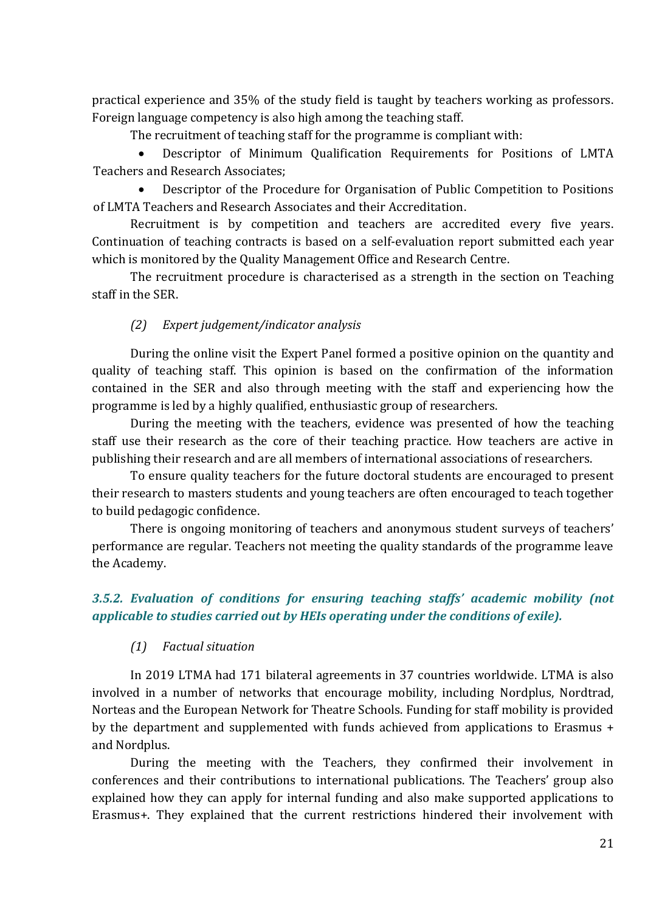practical experience and 35% of the study field is taught by teachers working as professors. Foreign language competency is also high among the teaching staff.

The recruitment of teaching staff for the programme is compliant with:

 Descriptor of Minimum Qualification Requirements for Positions of LMTA Teachers and Research Associates;

 Descriptor of the Procedure for Organisation of Public Competition to Positions of LMTA Teachers and Research Associates and their Accreditation.

Recruitment is by competition and teachers are accredited every five years. Continuation of teaching contracts is based on a self-evaluation report submitted each year which is monitored by the Quality Management Office and Research Centre.

The recruitment procedure is characterised as a strength in the section on Teaching staff in the SER.

## *(2) Expert judgement/indicator analysis*

During the online visit the Expert Panel formed a positive opinion on the quantity and quality of teaching staff. This opinion is based on the confirmation of the information contained in the SER and also through meeting with the staff and experiencing how the programme is led by a highly qualified, enthusiastic group of researchers.

During the meeting with the teachers, evidence was presented of how the teaching staff use their research as the core of their teaching practice. How teachers are active in publishing their research and are all members of international associations of researchers.

To ensure quality teachers for the future doctoral students are encouraged to present their research to masters students and young teachers are often encouraged to teach together to build pedagogic confidence.

There is ongoing monitoring of teachers and anonymous student surveys of teachers' performance are regular. Teachers not meeting the quality standards of the programme leave the Academy.

# *3.5.2. Evaluation of conditions for ensuring teaching staffs' academic mobility (not applicable to studies carried out by HEIs operating under the conditions of exile).*

## *(1) Factual situation*

In 2019 LTMA had 171 bilateral agreements in 37 countries worldwide. LTMA is also involved in a number of networks that encourage mobility, including Nordplus, Nordtrad, Norteas and the European Network for Theatre Schools. Funding for staff mobility is provided by the department and supplemented with funds achieved from applications to Erasmus + and Nordplus.

During the meeting with the Teachers, they confirmed their involvement in conferences and their contributions to international publications. The Teachers' group also explained how they can apply for internal funding and also make supported applications to Erasmus+. They explained that the current restrictions hindered their involvement with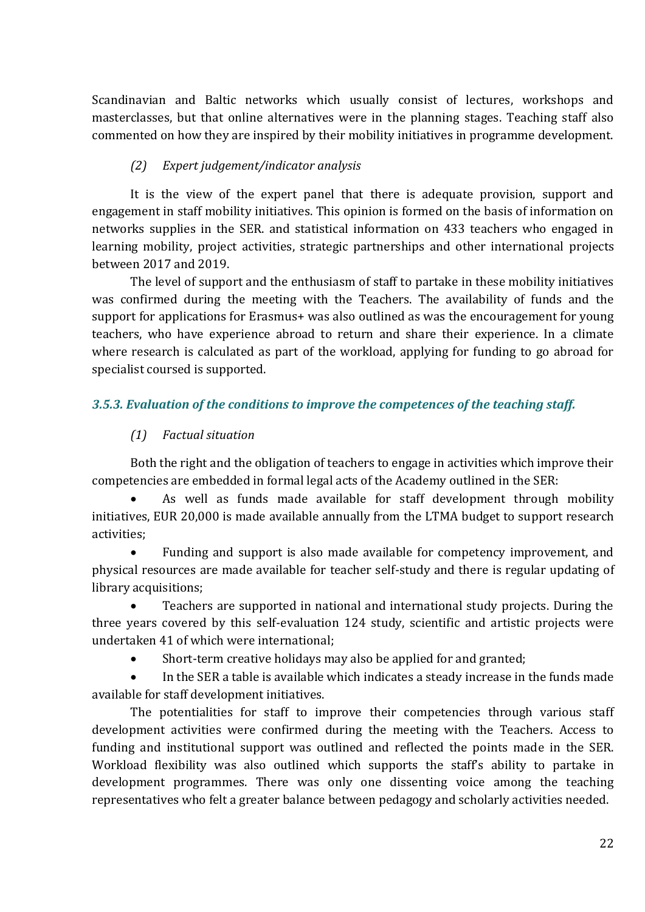Scandinavian and Baltic networks which usually consist of lectures, workshops and masterclasses, but that online alternatives were in the planning stages. Teaching staff also commented on how they are inspired by their mobility initiatives in programme development.

## *(2) Expert judgement/indicator analysis*

It is the view of the expert panel that there is adequate provision, support and engagement in staff mobility initiatives. This opinion is formed on the basis of information on networks supplies in the SER. and statistical information on 433 teachers who engaged in learning mobility, project activities, strategic partnerships and other international projects between 2017 and 2019.

The level of support and the enthusiasm of staff to partake in these mobility initiatives was confirmed during the meeting with the Teachers. The availability of funds and the support for applications for Erasmus+ was also outlined as was the encouragement for young teachers, who have experience abroad to return and share their experience. In a climate where research is calculated as part of the workload, applying for funding to go abroad for specialist coursed is supported.

## *3.5.3. Evaluation of the conditions to improve the competences of the teaching staff.*

## *(1) Factual situation*

Both the right and the obligation of teachers to engage in activities which improve their competencies are embedded in formal legal acts of the Academy outlined in the SER:

 As well as funds made available for staff development through mobility initiatives, EUR 20,000 is made available annually from the LTMA budget to support research activities;

 Funding and support is also made available for competency improvement, and physical resources are made available for teacher self-study and there is regular updating of library acquisitions;

 Teachers are supported in national and international study projects. During the three years covered by this self-evaluation 124 study, scientific and artistic projects were undertaken 41 of which were international;

Short-term creative holidays may also be applied for and granted;

 In the SER a table is available which indicates a steady increase in the funds made available for staff development initiatives.

The potentialities for staff to improve their competencies through various staff development activities were confirmed during the meeting with the Teachers. Access to funding and institutional support was outlined and reflected the points made in the SER. Workload flexibility was also outlined which supports the staff's ability to partake in development programmes. There was only one dissenting voice among the teaching representatives who felt a greater balance between pedagogy and scholarly activities needed.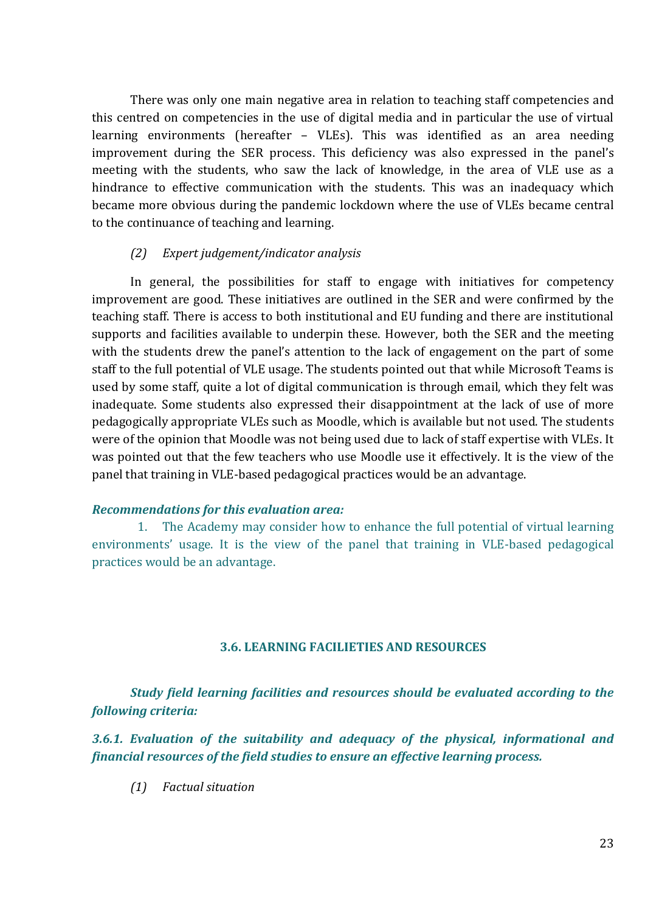There was only one main negative area in relation to teaching staff competencies and this centred on competencies in the use of digital media and in particular the use of virtual learning environments (hereafter – VLEs). This was identified as an area needing improvement during the SER process. This deficiency was also expressed in the panel's meeting with the students, who saw the lack of knowledge, in the area of VLE use as a hindrance to effective communication with the students. This was an inadequacy which became more obvious during the pandemic lockdown where the use of VLEs became central to the continuance of teaching and learning.

#### *(2) Expert judgement/indicator analysis*

In general, the possibilities for staff to engage with initiatives for competency improvement are good. These initiatives are outlined in the SER and were confirmed by the teaching staff. There is access to both institutional and EU funding and there are institutional supports and facilities available to underpin these. However, both the SER and the meeting with the students drew the panel's attention to the lack of engagement on the part of some staff to the full potential of VLE usage. The students pointed out that while Microsoft Teams is used by some staff, quite a lot of digital communication is through email, which they felt was inadequate. Some students also expressed their disappointment at the lack of use of more pedagogically appropriate VLEs such as Moodle, which is available but not used. The students were of the opinion that Moodle was not being used due to lack of staff expertise with VLEs. It was pointed out that the few teachers who use Moodle use it effectively. It is the view of the panel that training in VLE-based pedagogical practices would be an advantage.

#### *Recommendations for this evaluation area:*

1. The Academy may consider how to enhance the full potential of virtual learning environments' usage. It is the view of the panel that training in VLE-based pedagogical practices would be an advantage.

#### **3.6. LEARNING FACILIETIES AND RESOURCES**

<span id="page-22-0"></span>*Study field learning facilities and resources should be evaluated according to the following criteria:*

*3.6.1. Evaluation of the suitability and adequacy of the physical, informational and financial resources of the field studies to ensure an effective learning process.*

*(1) Factual situation*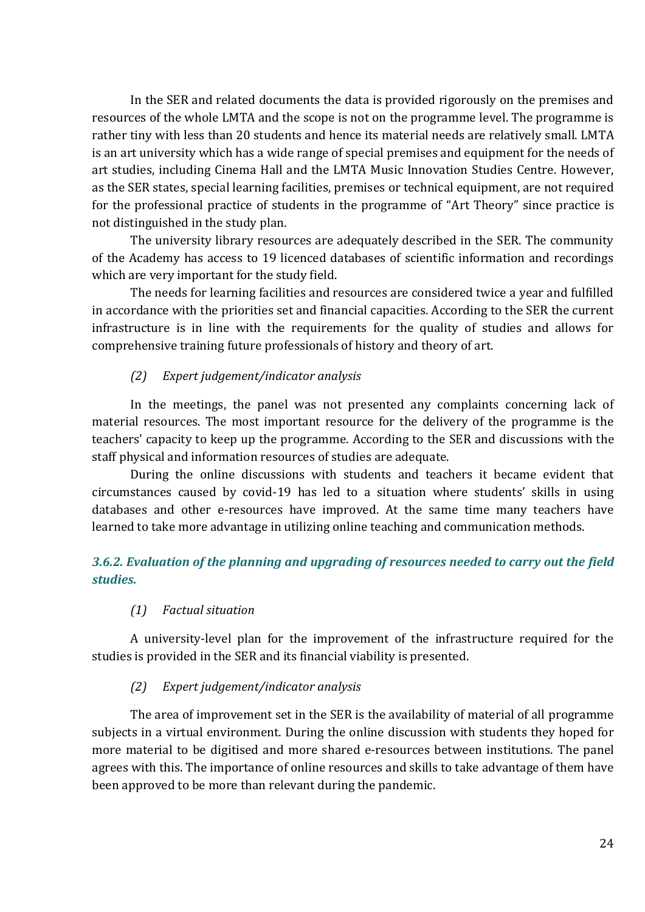In the SER and related documents the data is provided rigorously on the premises and resources of the whole LMTA and the scope is not on the programme level. The programme is rather tiny with less than 20 students and hence its material needs are relatively small. LMTA is an art university which has a wide range of special premises and equipment for the needs of art studies, including Cinema Hall and the LMTA Music Innovation Studies Centre. However, as the SER states, special learning facilities, premises or technical equipment, are not required for the professional practice of students in the programme of "Art Theory" since practice is not distinguished in the study plan.

The university library resources are adequately described in the SER. The community of the Academy has access to 19 licenced databases of scientific information and recordings which are very important for the study field.

The needs for learning facilities and resources are considered twice a year and fulfilled in accordance with the priorities set and financial capacities. According to the SER the current infrastructure is in line with the requirements for the quality of studies and allows for comprehensive training future professionals of history and theory of art.

## *(2) Expert judgement/indicator analysis*

In the meetings, the panel was not presented any complaints concerning lack of material resources. The most important resource for the delivery of the programme is the teachers' capacity to keep up the programme. According to the SER and discussions with the staff physical and information resources of studies are adequate.

During the online discussions with students and teachers it became evident that circumstances caused by covid-19 has led to a situation where students' skills in using databases and other e-resources have improved. At the same time many teachers have learned to take more advantage in utilizing online teaching and communication methods.

# *3.6.2. Evaluation of the planning and upgrading of resources needed to carry out the field studies.*

## *(1) Factual situation*

A university-level plan for the improvement of the infrastructure required for the studies is provided in the SER and its financial viability is presented.

## *(2) Expert judgement/indicator analysis*

The area of improvement set in the SER is the availability of material of all programme subjects in a virtual environment. During the online discussion with students they hoped for more material to be digitised and more shared e-resources between institutions. The panel agrees with this. The importance of online resources and skills to take advantage of them have been approved to be more than relevant during the pandemic.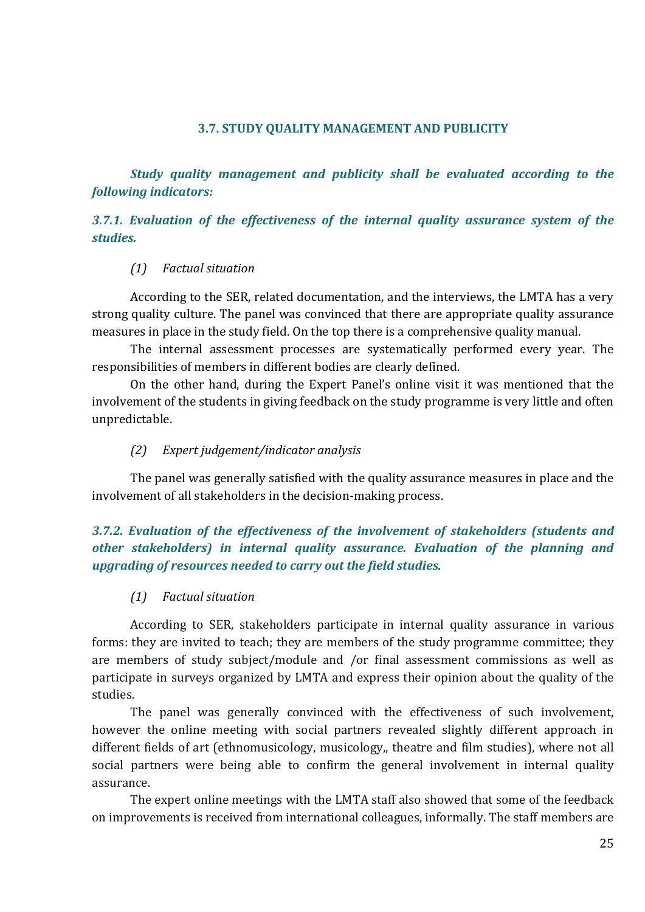#### **3.7. STUDY QUALITY MANAGEMENT AND PUBLICITY**

<span id="page-24-0"></span>*Study quality management and publicity shall be evaluated according to the following indicators:*

## *3.7.1. Evaluation of the effectiveness of the internal quality assurance system of the studies.*

#### *(1) Factual situation*

According to the SER, related documentation, and the interviews, the LMTA has a very strong quality culture. The panel was convinced that there are appropriate quality assurance measures in place in the study field. On the top there is a comprehensive quality manual.

The internal assessment processes are systematically performed every year. The responsibilities of members in different bodies are clearly defined.

On the other hand, during the Expert Panel's online visit it was mentioned that the involvement of the students in giving feedback on the study programme is very little and often unpredictable.

#### *(2) Expert judgement/indicator analysis*

The panel was generally satisfied with the quality assurance measures in place and the involvement of all stakeholders in the decision-making process.

## *3.7.2. Evaluation of the effectiveness of the involvement of stakeholders (students and other stakeholders) in internal quality assurance. Evaluation of the planning and upgrading of resources needed to carry out the field studies.*

#### *(1) Factual situation*

According to SER, stakeholders participate in internal quality assurance in various forms: they are invited to teach; they are members of the study programme committee; they are members of study subject/module and /or final assessment commissions as well as participate in surveys organized by LMTA and express their opinion about the quality of the studies.

The panel was generally convinced with the effectiveness of such involvement, however the online meeting with social partners revealed slightly different approach in different fields of art (ethnomusicology, musicology,, theatre and film studies), where not all social partners were being able to confirm the general involvement in internal quality assurance.

The expert online meetings with the LMTA staff also showed that some of the feedback on improvements is received from international colleagues, informally. The staff members are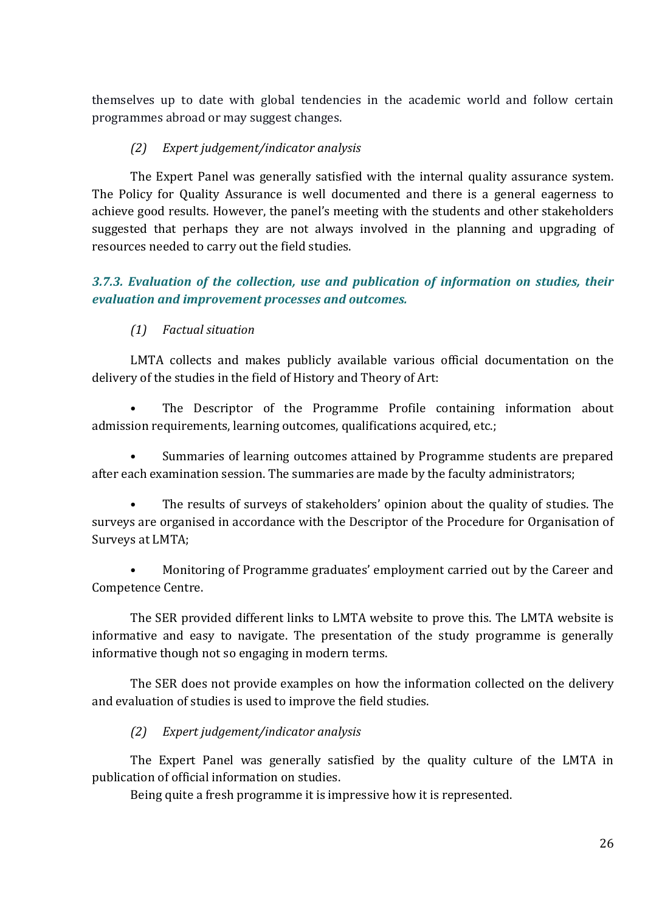themselves up to date with global tendencies in the academic world and follow certain programmes abroad or may suggest changes.

## *(2) Expert judgement/indicator analysis*

The Expert Panel was generally satisfied with the internal quality assurance system. The Policy for Quality Assurance is well documented and there is a general eagerness to achieve good results. However, the panel's meeting with the students and other stakeholders suggested that perhaps they are not always involved in the planning and upgrading of resources needed to carry out the field studies.

# *3.7.3. Evaluation of the collection, use and publication of information on studies, their evaluation and improvement processes and outcomes.*

# *(1) Factual situation*

LMTA collects and makes publicly available various official documentation on the delivery of the studies in the field of History and Theory of Art:

The Descriptor of the Programme Profile containing information about admission requirements, learning outcomes, qualifications acquired, etc.;

• Summaries of learning outcomes attained by Programme students are prepared after each examination session. The summaries are made by the faculty administrators;

• The results of surveys of stakeholders' opinion about the quality of studies. The surveys are organised in accordance with the Descriptor of the Procedure for Organisation of Surveys at LMTA;

• Monitoring of Programme graduates' employment carried out by the Career and Competence Centre.

The SER provided different links to LMTA website to prove this. The LMTA website is informative and easy to navigate. The presentation of the study programme is generally informative though not so engaging in modern terms.

The SER does not provide examples on how the information collected on the delivery and evaluation of studies is used to improve the field studies.

## *(2) Expert judgement/indicator analysis*

The Expert Panel was generally satisfied by the quality culture of the LMTA in publication of official information on studies.

Being quite a fresh programme it is impressive how it is represented.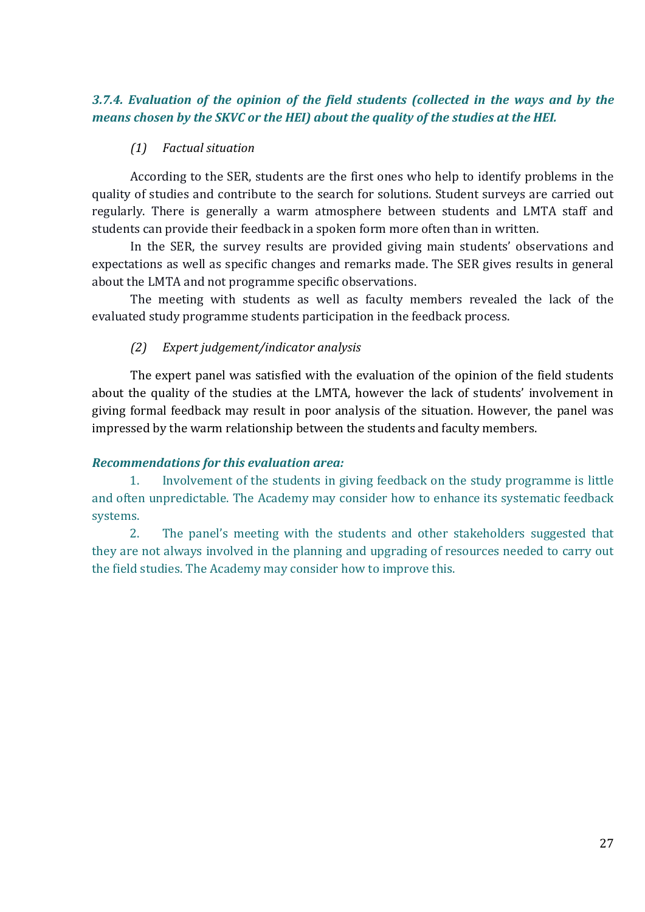## *3.7.4. Evaluation of the opinion of the field students (collected in the ways and by the means chosen by the SKVC or the HEI) about the quality of the studies at the HEI.*

#### *(1) Factual situation*

According to the SER, students are the first ones who help to identify problems in the quality of studies and contribute to the search for solutions. Student surveys are carried out regularly. There is generally a warm atmosphere between students and LMTA staff and students can provide their feedback in a spoken form more often than in written.

In the SER, the survey results are provided giving main students' observations and expectations as well as specific changes and remarks made. The SER gives results in general about the LMTA and not programme specific observations.

The meeting with students as well as faculty members revealed the lack of the evaluated study programme students participation in the feedback process.

#### *(2) Expert judgement/indicator analysis*

The expert panel was satisfied with the evaluation of the opinion of the field students about the quality of the studies at the LMTA, however the lack of students' involvement in giving formal feedback may result in poor analysis of the situation. However, the panel was impressed by the warm relationship between the students and faculty members.

#### *Recommendations for this evaluation area:*

1. Involvement of the students in giving feedback on the study programme is little and often unpredictable. The Academy may consider how to enhance its systematic feedback systems.

2. The panel's meeting with the students and other stakeholders suggested that they are not always involved in the planning and upgrading of resources needed to carry out the field studies. The Academy may consider how to improve this.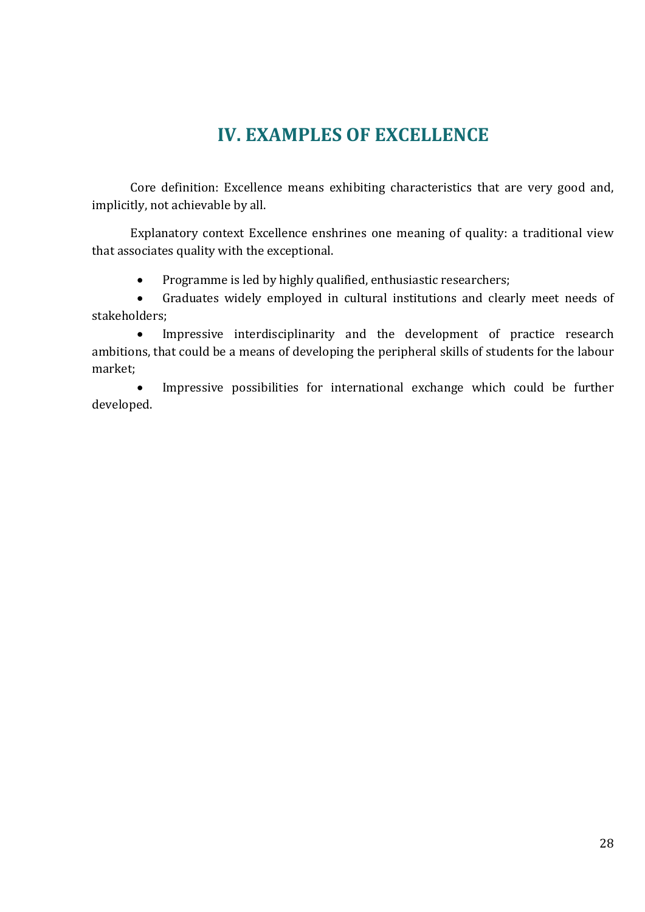# **IV. EXAMPLES OF EXCELLENCE**

<span id="page-27-0"></span>Core definition: Excellence means exhibiting characteristics that are very good and, implicitly, not achievable by all.

Explanatory context Excellence enshrines one meaning of quality: a traditional view that associates quality with the exceptional.

• Programme is led by highly qualified, enthusiastic researchers;

 Graduates widely employed in cultural institutions and clearly meet needs of stakeholders;

 Impressive interdisciplinarity and the development of practice research ambitions, that could be a means of developing the peripheral skills of students for the labour market;

 Impressive possibilities for international exchange which could be further developed.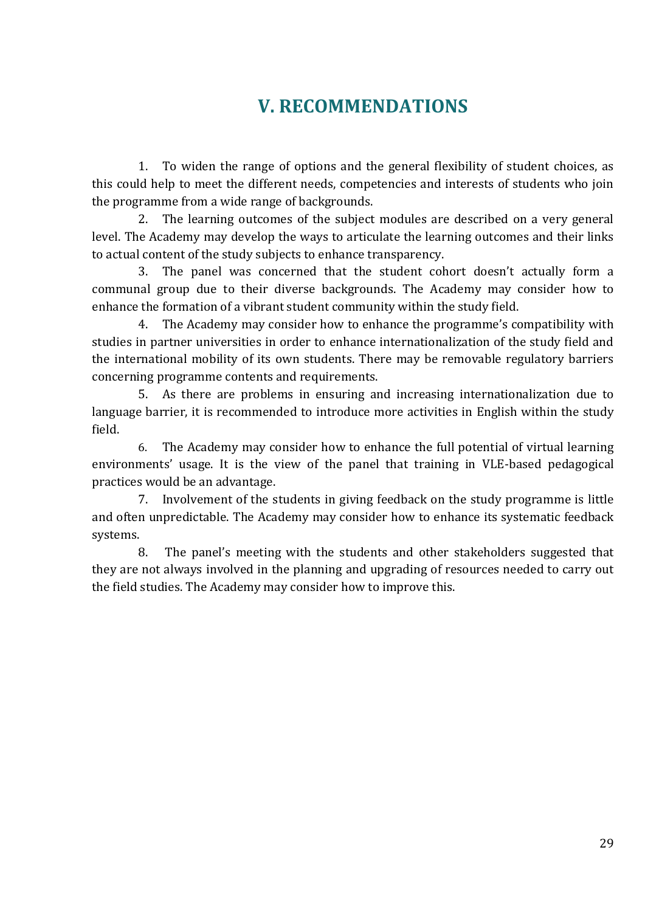# **V. RECOMMENDATIONS**

<span id="page-28-0"></span>1. To widen the range of options and the general flexibility of student choices, as this could help to meet the different needs, competencies and interests of students who join the programme from a wide range of backgrounds.

2. The learning outcomes of the subject modules are described on a very general level. The Academy may develop the ways to articulate the learning outcomes and their links to actual content of the study subjects to enhance transparency.

3. The panel was concerned that the student cohort doesn't actually form a communal group due to their diverse backgrounds. The Academy may consider how to enhance the formation of a vibrant student community within the study field.

4. The Academy may consider how to enhance the programme's compatibility with studies in partner universities in order to enhance internationalization of the study field and the international mobility of its own students. There may be removable regulatory barriers concerning programme contents and requirements.

5. As there are problems in ensuring and increasing internationalization due to language barrier, it is recommended to introduce more activities in English within the study field.

6. The Academy may consider how to enhance the full potential of virtual learning environments' usage. It is the view of the panel that training in VLE-based pedagogical practices would be an advantage.

7. Involvement of the students in giving feedback on the study programme is little and often unpredictable. The Academy may consider how to enhance its systematic feedback systems.

8. The panel's meeting with the students and other stakeholders suggested that they are not always involved in the planning and upgrading of resources needed to carry out the field studies. The Academy may consider how to improve this.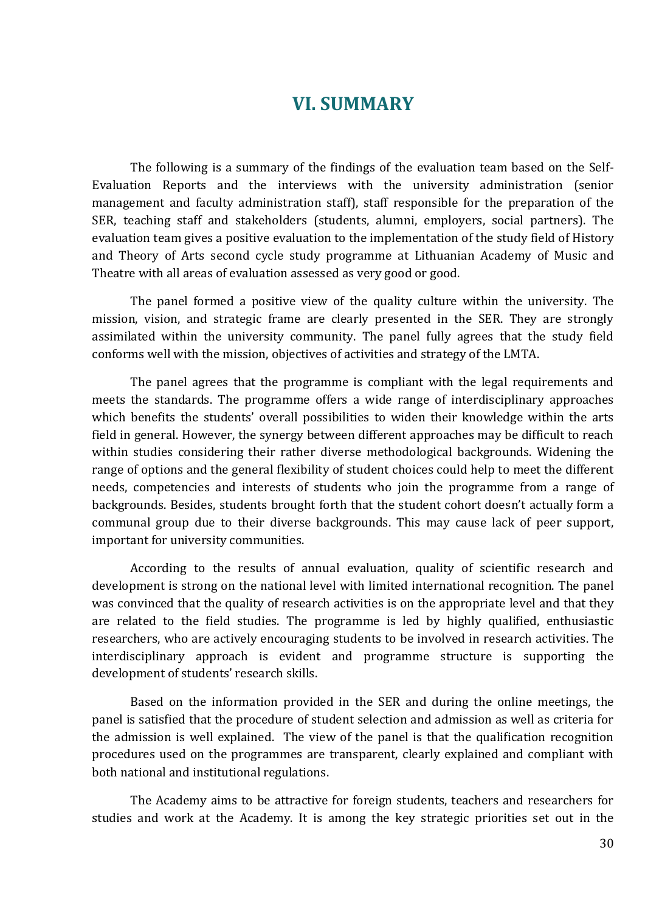# **VI. SUMMARY**

<span id="page-29-0"></span>The following is a summary of the findings of the evaluation team based on the Self-Evaluation Reports and the interviews with the university administration (senior management and faculty administration staff), staff responsible for the preparation of the SER, teaching staff and stakeholders (students, alumni, employers, social partners). The evaluation team gives a positive evaluation to the implementation of the study field of History and Theory of Arts second cycle study programme at Lithuanian Academy of Music and Theatre with all areas of evaluation assessed as very good or good.

The panel formed a positive view of the quality culture within the university. The mission, vision, and strategic frame are clearly presented in the SER. They are strongly assimilated within the university community. The panel fully agrees that the study field conforms well with the mission, objectives of activities and strategy of the LMTA.

The panel agrees that the programme is compliant with the legal requirements and meets the standards. The programme offers a wide range of interdisciplinary approaches which benefits the students' overall possibilities to widen their knowledge within the arts field in general. However, the synergy between different approaches may be difficult to reach within studies considering their rather diverse methodological backgrounds. Widening the range of options and the general flexibility of student choices could help to meet the different needs, competencies and interests of students who join the programme from a range of backgrounds. Besides, students brought forth that the student cohort doesn't actually form a communal group due to their diverse backgrounds. This may cause lack of peer support, important for university communities.

According to the results of annual evaluation, quality of scientific research and development is strong on the national level with limited international recognition. The panel was convinced that the quality of research activities is on the appropriate level and that they are related to the field studies. The programme is led by highly qualified, enthusiastic researchers, who are actively encouraging students to be involved in research activities. The interdisciplinary approach is evident and programme structure is supporting the development of students' research skills.

Based on the information provided in the SER and during the online meetings, the panel is satisfied that the procedure of student selection and admission as well as criteria for the admission is well explained. The view of the panel is that the qualification recognition procedures used on the programmes are transparent, clearly explained and compliant with both national and institutional regulations.

The Academy aims to be attractive for foreign students, teachers and researchers for studies and work at the Academy. It is among the key strategic priorities set out in the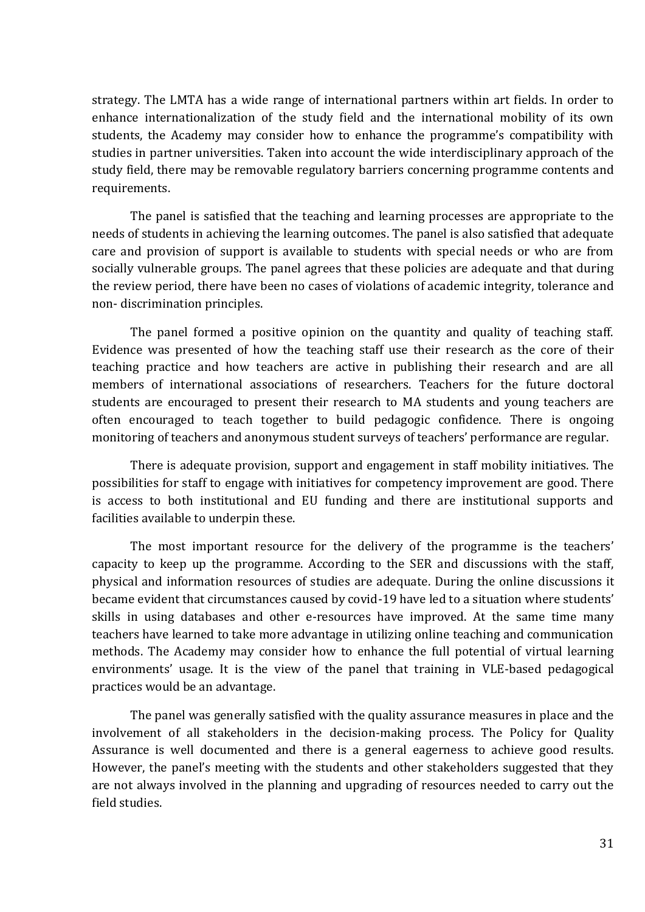strategy. The LMTA has a wide range of international partners within art fields. In order to enhance internationalization of the study field and the international mobility of its own students, the Academy may consider how to enhance the programme's compatibility with studies in partner universities. Taken into account the wide interdisciplinary approach of the study field, there may be removable regulatory barriers concerning programme contents and requirements.

The panel is satisfied that the teaching and learning processes are appropriate to the needs of students in achieving the learning outcomes. The panel is also satisfied that adequate care and provision of support is available to students with special needs or who are from socially vulnerable groups. The panel agrees that these policies are adequate and that during the review period, there have been no cases of violations of academic integrity, tolerance and non- discrimination principles.

The panel formed a positive opinion on the quantity and quality of teaching staff. Evidence was presented of how the teaching staff use their research as the core of their teaching practice and how teachers are active in publishing their research and are all members of international associations of researchers. Teachers for the future doctoral students are encouraged to present their research to MA students and young teachers are often encouraged to teach together to build pedagogic confidence. There is ongoing monitoring of teachers and anonymous student surveys of teachers' performance are regular.

There is adequate provision, support and engagement in staff mobility initiatives. The possibilities for staff to engage with initiatives for competency improvement are good. There is access to both institutional and EU funding and there are institutional supports and facilities available to underpin these.

The most important resource for the delivery of the programme is the teachers' capacity to keep up the programme. According to the SER and discussions with the staff, physical and information resources of studies are adequate. During the online discussions it became evident that circumstances caused by covid-19 have led to a situation where students' skills in using databases and other e-resources have improved. At the same time many teachers have learned to take more advantage in utilizing online teaching and communication methods. The Academy may consider how to enhance the full potential of virtual learning environments' usage. It is the view of the panel that training in VLE-based pedagogical practices would be an advantage.

The panel was generally satisfied with the quality assurance measures in place and the involvement of all stakeholders in the decision-making process. The Policy for Quality Assurance is well documented and there is a general eagerness to achieve good results. However, the panel's meeting with the students and other stakeholders suggested that they are not always involved in the planning and upgrading of resources needed to carry out the field studies.